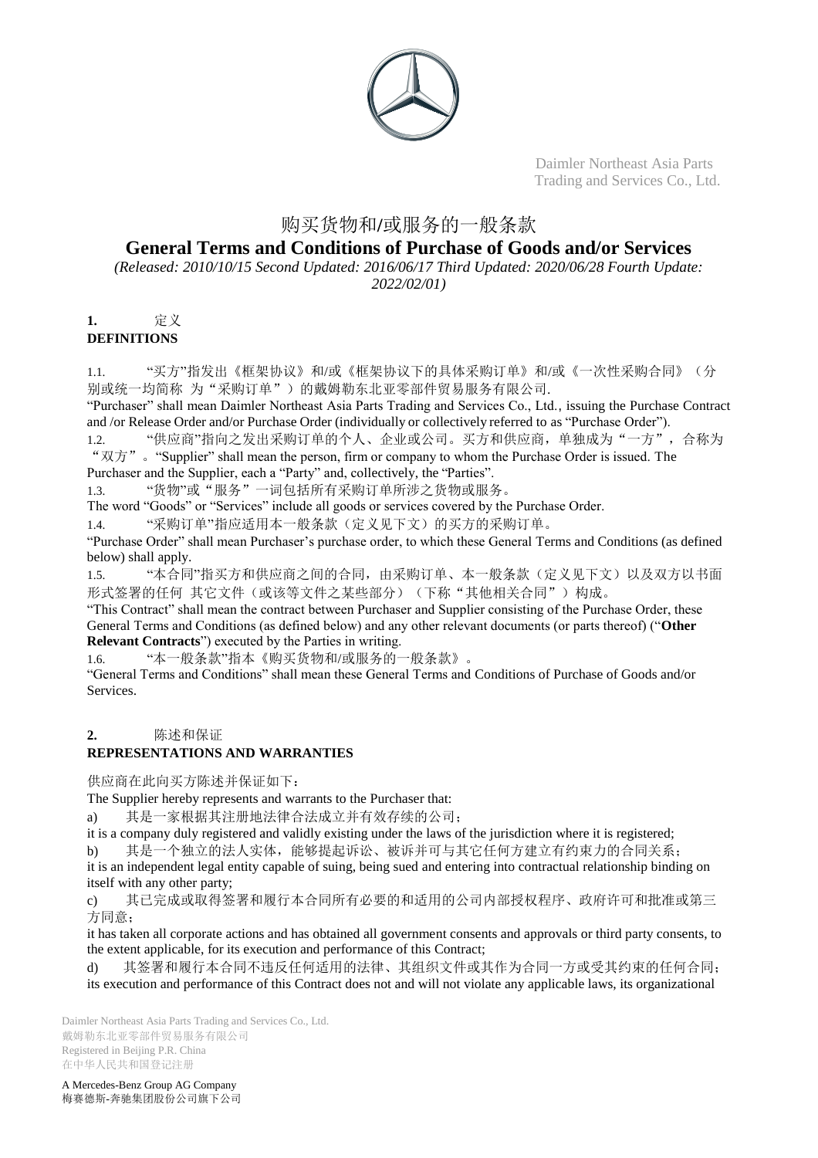

## 购买货物和**/**或服务的一般条款

## **General Terms and Conditions of Purchase of Goods and/or Services**

*(Released: 2010/10/15 Second Updated: 2016/06/17 Third Updated: 2020/06/28 Fourth Update: 2022/02/01)*

# **1.** 定义

**DEFINITIONS**

1.1. "买方"指发出《框架协议》和/或《框架协议下的具体采购订单》和/或《一次性采购合同》(分 别或统一均简称 为"采购订单")的戴姆勒东北亚零部件贸易服务有限公司.

"Purchaser" shall mean Daimler Northeast Asia Parts Trading and Services Co., Ltd., issuing the Purchase Contract and /or Release Order and/or Purchase Order (individually or collectively referred to as "Purchase Order").

1.2. "供应商"指向之发出采购订单的个人、企业或公司。买方和供应商,单独成为"一方",合称为 "双方"。"Supplier" shall mean the person, firm or company to whom the Purchase Order is issued. The Purchaser and the Supplier, each a "Party" and, collectively, the "Parties".

1.3. "货物"或"服务"一词包括所有采购订单所涉之货物或服务。

The word "Goods" or "Services" include all goods or services covered by the Purchase Order.

1.4. "采购订单"指应适用本一般条款(定义见下文)的买方的采购订单。

"Purchase Order" shall mean Purchaser's purchase order, to which these General Terms and Conditions (as defined below) shall apply.

1.5. "本合同"指买方和供应商之间的合同,由采购订单、本一般条款(定义见下文)以及双方以书面 形式签署的任何 其它文件(或该等文件之某些部分)(下称"其他相关合同")构成。

"This Contract" shall mean the contract between Purchaser and Supplier consisting of the Purchase Order, these General Terms and Conditions (as defined below) and any other relevant documents (or parts thereof) ("**Other Relevant Contracts**") executed by the Parties in writing.

1.6. "本一般条款"指本《购买货物和/或服务的一般条款》。

"General Terms and Conditions" shall mean these General Terms and Conditions of Purchase of Goods and/or Services.

## **2.** 陈述和保证

## **REPRESENTATIONS AND WARRANTIES**

供应商在此向买方陈述并保证如下:

The Supplier hereby represents and warrants to the Purchaser that:

a) 其是一家根据其注册地法律合法成立并有效存续的公司;

it is a company duly registered and validly existing under the laws of the jurisdiction where it is registered;

b) 其是一个独立的法人实体,能够提起诉讼、被诉并可与其它任何方建立有约束力的合同关系;

it is an independent legal entity capable of suing, being sued and entering into contractual relationship binding on itself with any other party;

c) 其已完成或取得签署和履行本合同所有必要的和适用的公司内部授权程序、政府许可和批准或第三 方同意;

it has taken all corporate actions and has obtained all government consents and approvals or third party consents, to the extent applicable, for its execution and performance of this Contract;

d) 其签署和履行本合同不违反任何适用的法律、其组织文件或其作为合同一方或受其约束的任何合同; its execution and performance of this Contract does not and will not violate any applicable laws, its organizational

Daimler Northeast Asia Parts Trading and Services Co., Ltd. 戴姆勒东北亚零部件贸易服务有限公司 Registered in Beijing P.R. China 在中华人民共和国登记注册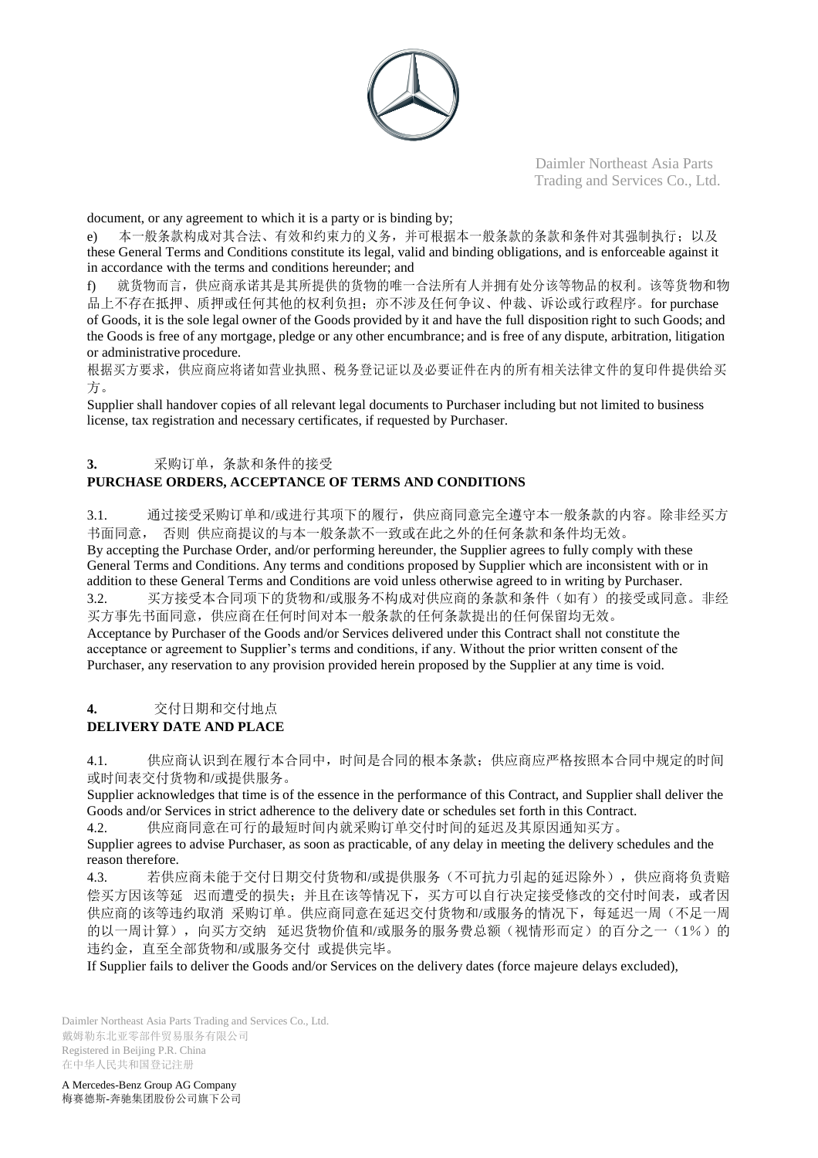

document, or any agreement to which it is a party or is binding by;

e) 本一般条款构成对其合法、有效和约束力的义务,并可根据本一般条款的条款和条件对其强制执行;以及 these General Terms and Conditions constitute its legal, valid and binding obligations, and is enforceable against it in accordance with the terms and conditions hereunder; and

f) 就货物而言,供应商承诺其是其所提供的货物的唯一合法所有人并拥有处分该等物品的权利。该等货物和物 品上不存在抵押、质押或任何其他的权利负担;亦不涉及任何争议、仲裁、诉讼或行政程序。for purchase of Goods, it is the sole legal owner of the Goods provided by it and have the full disposition right to such Goods; and the Goods is free of any mortgage, pledge or any other encumbrance; and is free of any dispute, arbitration, litigation or administrative procedure.

根据买方要求,供应商应将诸如营业执照、税务登记证以及必要证件在内的所有相关法律文件的复印件提供给买 方。

Supplier shall handover copies of all relevant legal documents to Purchaser including but not limited to business license, tax registration and necessary certificates, if requested by Purchaser.

## **3.** 采购订单,条款和条件的接受

## **PURCHASE ORDERS, ACCEPTANCE OF TERMS AND CONDITIONS**

3.1. 通过接受采购订单和/或进行其项下的履行,供应商同意完全遵守本一般条款的内容。除非经买方 书面同意, 否则 供应商提议的与本一般条款不一致或在此之外的任何条款和条件均无效。

By accepting the Purchase Order, and/or performing hereunder, the Supplier agrees to fully comply with these General Terms and Conditions. Any terms and conditions proposed by Supplier which are inconsistent with or in addition to these General Terms and Conditions are void unless otherwise agreed to in writing by Purchaser. 3.2. 买方接受本合同项下的货物和/或服务不构成对供应商的条款和条件(如有)的接受或同意。非经 买方事先书面同意,供应商在任何时间对本一般条款的任何条款提出的任何保留均无效。 Acceptance by Purchaser of the Goods and/or Services delivered under this Contract shall not constitute the acceptance or agreement to Supplier's terms and conditions, if any. Without the prior written consent of the Purchaser, any reservation to any provision provided herein proposed by the Supplier at any time is void.

**4.** 交付日期和交付地点

## **DELIVERY DATE AND PLACE**

4.1. 供应商认识到在履行本合同中,时间是合同的根本条款;供应商应严格按照本合同中规定的时间 或时间表交付货物和/或提供服务。

Supplier acknowledges that time is of the essence in the performance of this Contract, and Supplier shall deliver the Goods and/or Services in strict adherence to the delivery date or schedules set forth in this Contract.

4.2. 供应商同意在可行的最短时间内就采购订单交付时间的延迟及其原因通知买方。

Supplier agrees to advise Purchaser, as soon as practicable, of any delay in meeting the delivery schedules and the reason therefore.

4.3. 若供应商未能于交付日期交付货物和/或提供服务(不可抗力引起的延迟除外),供应商将负责赔 偿买方因该等延 迟而遭受的损失;并且在该等情况下,买方可以自行决定接受修改的交付时间表,或者因 供应商的该等违约取消 采购订单。供应商同意在延迟交付货物和/或服务的情况下, 每延迟一周(不足一周 的以一周计算),向买方交纳 延迟货物价值和/或服务的服务费总额(视情形而定)的百分之一(1%)的 违约金,直至全部货物和/或服务交付 或提供完毕。

If Supplier fails to deliver the Goods and/or Services on the delivery dates (force majeure delays excluded),

Daimler Northeast Asia Parts Trading and Services Co., Ltd. 戴姆勒东北亚零部件贸易服务有限公司 Registered in Beijing P.R. China 在中华人民共和国登记注册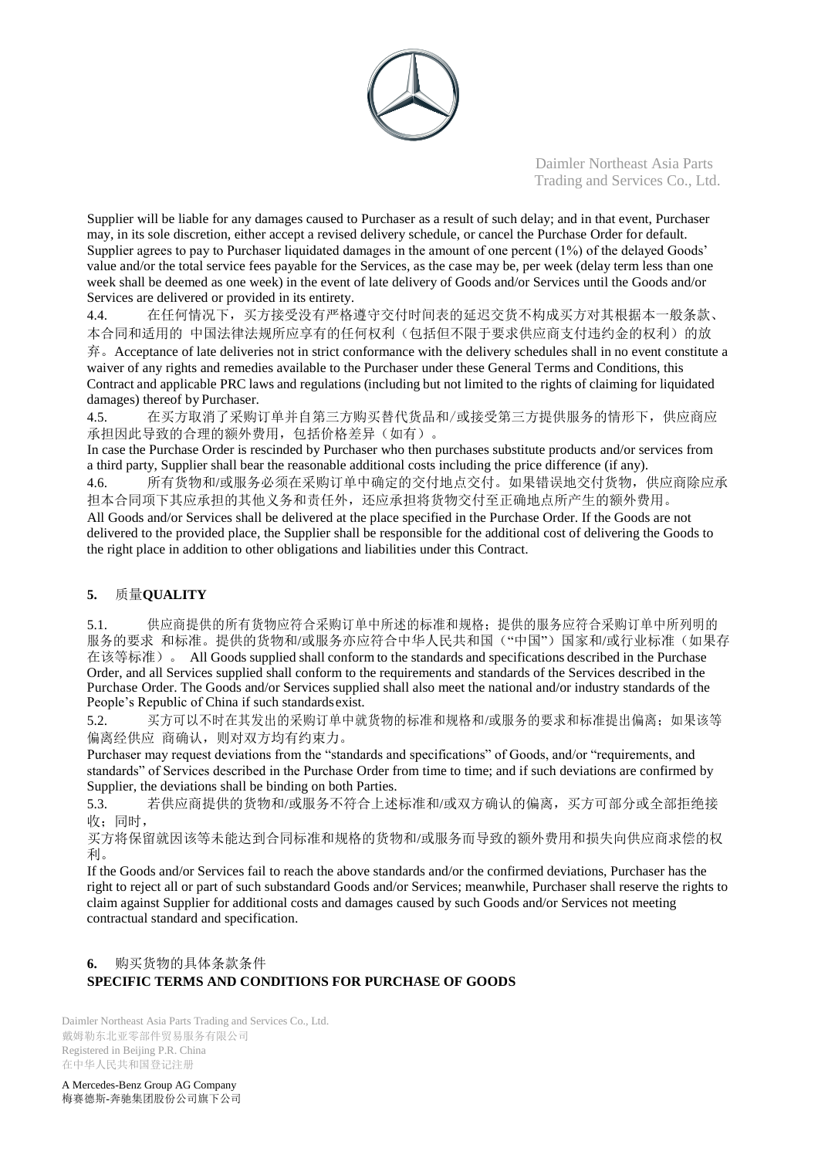

Supplier will be liable for any damages caused to Purchaser as a result of such delay; and in that event, Purchaser may, in its sole discretion, either accept a revised delivery schedule, or cancel the Purchase Order for default. Supplier agrees to pay to Purchaser liquidated damages in the amount of one percent (1%) of the delayed Goods' value and/or the total service fees payable for the Services, as the case may be, per week (delay term less than one week shall be deemed as one week) in the event of late delivery of Goods and/or Services until the Goods and/or Services are delivered or provided in its entirety.

4.4. 在任何情况下,买方接受没有严格遵守交付时间表的延迟交货不构成买方对其根据本一般条款、 本合同和适用的 中国法律法规所应享有的任何权利(包括但不限于要求供应商支付违约金的权利)的放 弃。Acceptance of late deliveries not in strict conformance with the delivery schedules shall in no event constitute a waiver of any rights and remedies available to the Purchaser under these General Terms and Conditions, this Contract and applicable PRC laws and regulations (including but not limited to the rights of claiming for liquidated damages) thereof by Purchaser.

4.5. 在买方取消了采购订单并自第三方购买替代货品和/或接受第三方提供服务的情形下,供应商应 承担因此导致的合理的额外费用,包括价格差异(如有)。

In case the Purchase Order is rescinded by Purchaser who then purchases substitute products and/or services from a third party, Supplier shall bear the reasonable additional costs including the price difference (if any).

4.6. 所有货物和/或服务必须在采购订单中确定的交付地点交付。如果错误地交付货物,供应商除应承 担本合同项下其应承担的其他义务和责任外,还应承担将货物交付至正确地点所产生的额外费用。 All Goods and/or Services shall be delivered at the place specified in the Purchase Order. If the Goods are not delivered to the provided place, the Supplier shall be responsible for the additional cost of delivering the Goods to the right place in addition to other obligations and liabilities under this Contract.

## **5.** 质量**QUALITY**

5.1. 供应商提供的所有货物应符合采购订单中所述的标准和规格;提供的服务应符合采购订单中所列明的 服务的要求 和标准。提供的货物和/或服务亦应符合中华人民共和国("中国")国家和/或行业标准(如果存 在该等标准)。 All Goods supplied shall conform to the standards and specifications described in the Purchase Order, and all Services supplied shall conform to the requirements and standards of the Services described in the Purchase Order. The Goods and/or Services supplied shall also meet the national and/or industry standards of the People's Republic of China if such standardsexist.

5.2. 买方可以不时在其发出的采购订单中就货物的标准和规格和/或服务的要求和标准提出偏离;如果该等 偏离经供应 商确认,则对双方均有约束力。

Purchaser may request deviations from the "standards and specifications" of Goods, and/or "requirements, and standards" of Services described in the Purchase Order from time to time; and if such deviations are confirmed by Supplier, the deviations shall be binding on both Parties.

5.3. 若供应商提供的货物和/或服务不符合上述标准和/或双方确认的偏离,买方可部分或全部拒绝接 收;同时,

买方将保留就因该等未能达到合同标准和规格的货物和/或服务而导致的额外费用和损失向供应商求偿的权 利。

If the Goods and/or Services fail to reach the above standards and/or the confirmed deviations, Purchaser has the right to reject all or part of such substandard Goods and/or Services; meanwhile, Purchaser shall reserve the rights to claim against Supplier for additional costs and damages caused by such Goods and/or Services not meeting contractual standard and specification.

## **6.** 购买货物的具体条款条件 **SPECIFIC TERMS AND CONDITIONS FOR PURCHASE OF GOODS**

Daimler Northeast Asia Parts Trading and Services Co., Ltd. 戴姆勒东北亚零部件贸易服务有限公司 Registered in Beijing P.R. China 在中华人民共和国登记注册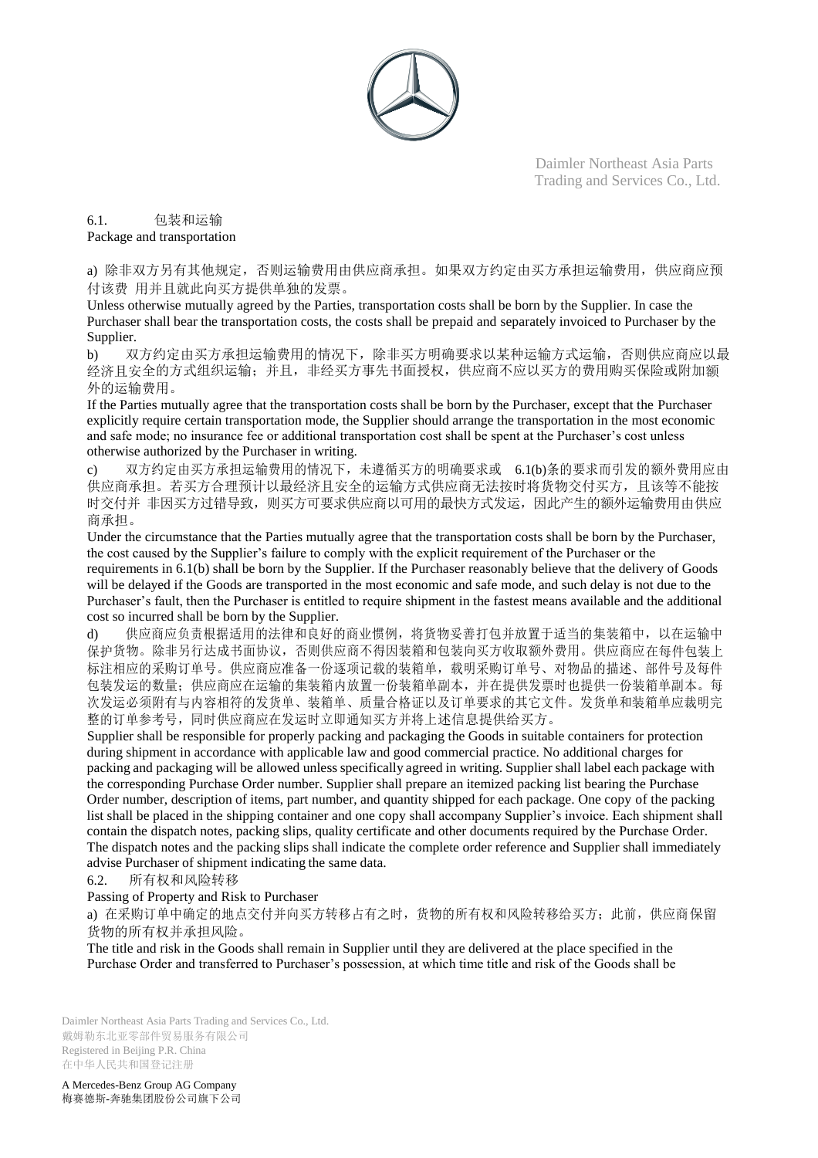

6.1. 包装和运输

Package and transportation

a) 除非双方另有其他规定,否则运输费用由供应商承担。如果双方约定由买方承担运输费用,供应商应预 付该费 用并且就此向买方提供单独的发票。

Unless otherwise mutually agreed by the Parties, transportation costs shall be born by the Supplier. In case the Purchaser shall bear the transportation costs, the costs shall be prepaid and separately invoiced to Purchaser by the Supplier.

b) 双方约定由买方承担运输费用的情况下,除非买方明确要求以某种运输方式运输,否则供应商应以最 经济且安全的方式组织运输;并且,非经买方事先书面授权,供应商不应以买方的费用购买保险或附加额 外的运输费用。

If the Parties mutually agree that the transportation costs shall be born by the Purchaser, except that the Purchaser explicitly require certain transportation mode, the Supplier should arrange the transportation in the most economic and safe mode; no insurance fee or additional transportation cost shall be spent at the Purchaser's cost unless otherwise authorized by the Purchaser in writing.

c) 双方约定由买方承担运输费用的情况下,未遵循买方的明确要求或 6.1(b)条的要求而引发的额外费用应由 供应商承担。若买方合理预计以最经济且安全的运输方式供应商无法按时将货物交付买方,且该等不能按 时交付并 非因买方过错导致,则买方可要求供应商以可用的最快方式发运,因此产生的额外运输费用由供应 商承担。

Under the circumstance that the Parties mutually agree that the transportation costs shall be born by the Purchaser, the cost caused by the Supplier's failure to comply with the explicit requirement of the Purchaser or the requirements in 6.1(b) shall be born by the Supplier. If the Purchaser reasonably believe that the delivery of Goods will be delayed if the Goods are transported in the most economic and safe mode, and such delay is not due to the Purchaser's fault, then the Purchaser is entitled to require shipment in the fastest means available and the additional cost so incurred shall be born by the Supplier.

d) 供应商应负责根据适用的法律和良好的商业惯例,将货物妥善打包并放置于适当的集装箱中,以在运输中 保护货物。除非另行达成书面协议,否则供应商不得因装箱和包装向买方收取额外费用。供应商应在每件包装上 标注相应的采购订单号。供应商应准备一份逐项记载的装箱单,载明采购订单号、对物品的描述、部件号及每件 包装发运的数量;供应商应在运输的集装箱内放置一份装箱单副本,并在提供发票时也提供一份装箱单副本。每 次发运必须附有与内容相符的发货单、装箱单、质量合格证以及订单要求的其它文件。发货单和装箱单应裁明完 整的订单参考号,同时供应商应在发运时立即通知买方并将上述信息提供给买方。

Supplier shall be responsible for properly packing and packaging the Goods in suitable containers for protection during shipment in accordance with applicable law and good commercial practice. No additional charges for packing and packaging will be allowed unless specifically agreed in writing. Supplier shall label each package with the corresponding Purchase Order number. Supplier shall prepare an itemized packing list bearing the Purchase Order number, description of items, part number, and quantity shipped for each package. One copy of the packing list shall be placed in the shipping container and one copy shall accompany Supplier's invoice. Each shipment shall contain the dispatch notes, packing slips, quality certificate and other documents required by the Purchase Order. The dispatch notes and the packing slips shall indicate the complete order reference and Supplier shall immediately advise Purchaser of shipment indicating the same data.

6.2. 所有权和风险转移

Passing of Property and Risk to Purchaser

a) 在采购订单中确定的地点交付并向买方转移占有之时, 货物的所有权和风险转移给买方; 此前, 供应商保留 货物的所有权并承担风险。

The title and risk in the Goods shall remain in Supplier until they are delivered at the place specified in the Purchase Order and transferred to Purchaser's possession, at which time title and risk of the Goods shall be

Daimler Northeast Asia Parts Trading and Services Co., Ltd. 戴姆勒东北亚零部件贸易服务有限公司 Registered in Beijing P.R. China 在中华人民共和国登记注册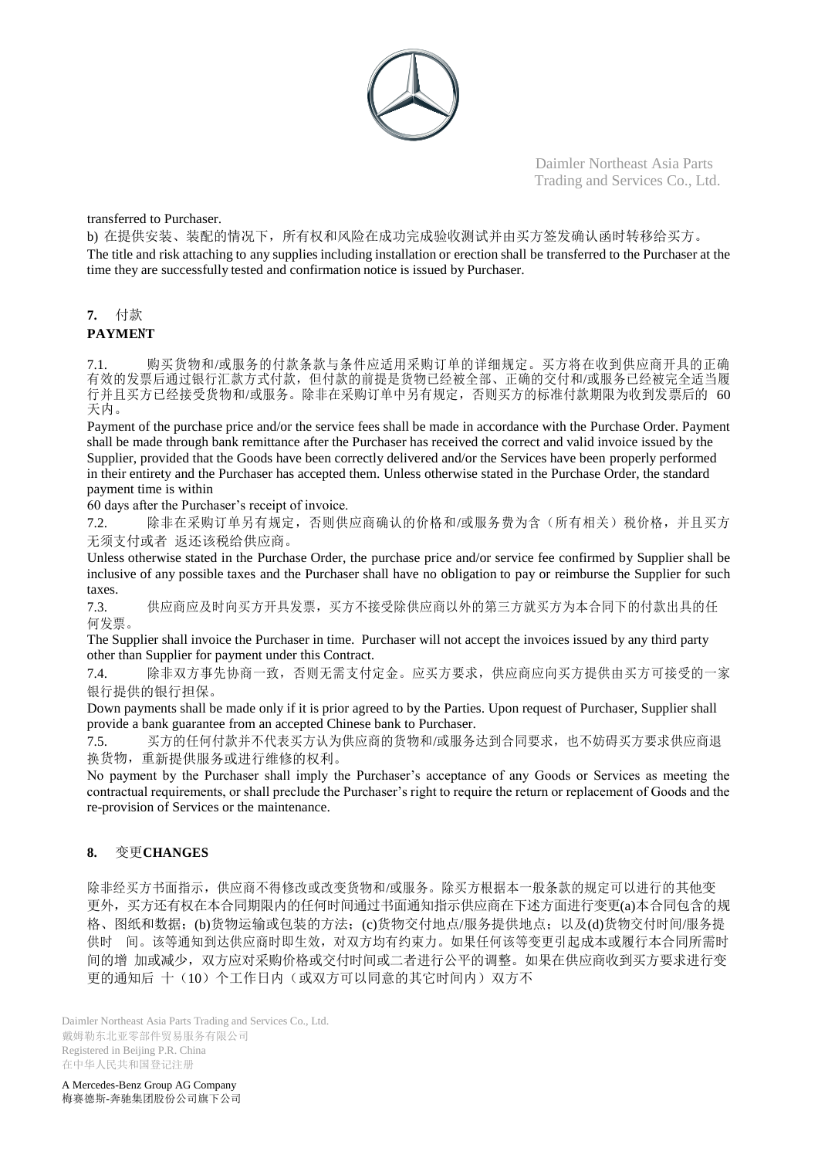

transferred to Purchaser.

b) 在提供安装、装配的情况下,所有权和风险在成功完成验收测试并由买方签发确认函时转移给买方。 The title and risk attaching to any supplies including installation or erection shall be transferred to the Purchaser at the time they are successfully tested and confirmation notice is issued by Purchaser.

## **7.** 付款

## **PAYME**N**T**

7.1. 购买货物和/或服务的付款条款与条件应适用采购订单的详细规定。买方将在收到供应商开具的正确 有效的发票后通过银行汇款方式付款,但付款的前提是货物已经被全部、正确的交付和/或服务已经被完全适当履 行并且买方已经接受货物和/或服务。除非在采购订单中另有规定,否则买方的标准付款期限为收到发票后的 60 天内。

Payment of the purchase price and/or the service fees shall be made in accordance with the Purchase Order. Payment shall be made through bank remittance after the Purchaser has received the correct and valid invoice issued by the Supplier, provided that the Goods have been correctly delivered and/or the Services have been properly performed in their entirety and the Purchaser has accepted them. Unless otherwise stated in the Purchase Order, the standard payment time is within

60 days after the Purchaser's receipt of invoice.

7.2. 除非在采购订单另有规定,否则供应商确认的价格和/或服务费为含(所有相关)税价格,并且买方 无须支付或者 返还该税给供应商。

Unless otherwise stated in the Purchase Order, the purchase price and/or service fee confirmed by Supplier shall be inclusive of any possible taxes and the Purchaser shall have no obligation to pay or reimburse the Supplier for such taxes.

7.3. 供应商应及时向买方开具发票,买方不接受除供应商以外的第三方就买方为本合同下的付款出具的任 何发票。

The Supplier shall invoice the Purchaser in time. Purchaser will not accept the invoices issued by any third party other than Supplier for payment under this Contract.

7.4. 除非双方事先协商一致,否则无需支付定金。应买方要求,供应商应向买方提供由买方可接受的一家 银行提供的银行担保。

Down payments shall be made only if it is prior agreed to by the Parties. Upon request of Purchaser, Supplier shall provide a bank guarantee from an accepted Chinese bank to Purchaser.

7.5. 买方的任何付款并不代表买方认为供应商的货物和/或服务达到合同要求,也不妨碍买方要求供应商退 换货物,重新提供服务或进行维修的权利。

No payment by the Purchaser shall imply the Purchaser's acceptance of any Goods or Services as meeting the contractual requirements, or shall preclude the Purchaser's right to require the return or replacement of Goods and the re-provision of Services or the maintenance.

## **8.** 变更**CHANGES**

除非经买方书面指示,供应商不得修改或改变货物和/或服务。除买方根据本一般条款的规定可以进行的其他变 更外,买方还有权在本合同期限内的任何时间通过书面通知指示供应商在下述方面进行变更(a)本合同包含的规 格、图纸和数据;(b)货物运输或包装的方法;(c)货物交付地点/服务提供地点;以及(d)货物交付时间/服务提 供时 间。该等通知到达供应商时即生效,对双方均有约束力。如果任何该等变更引起成本或履行本合同所需时 间的增 加或减少,双方应对采购价格或交付时间或二者进行公平的调整。如果在供应商收到买方要求进行变 更的通知后 十(10)个工作日内(或双方可以同意的其它时间内)双方不

Daimler Northeast Asia Parts Trading and Services Co., Ltd. 戴姆勒东北亚零部件贸易服务有限公司 Registered in Beijing P.R. China 在中华人民共和国登记注册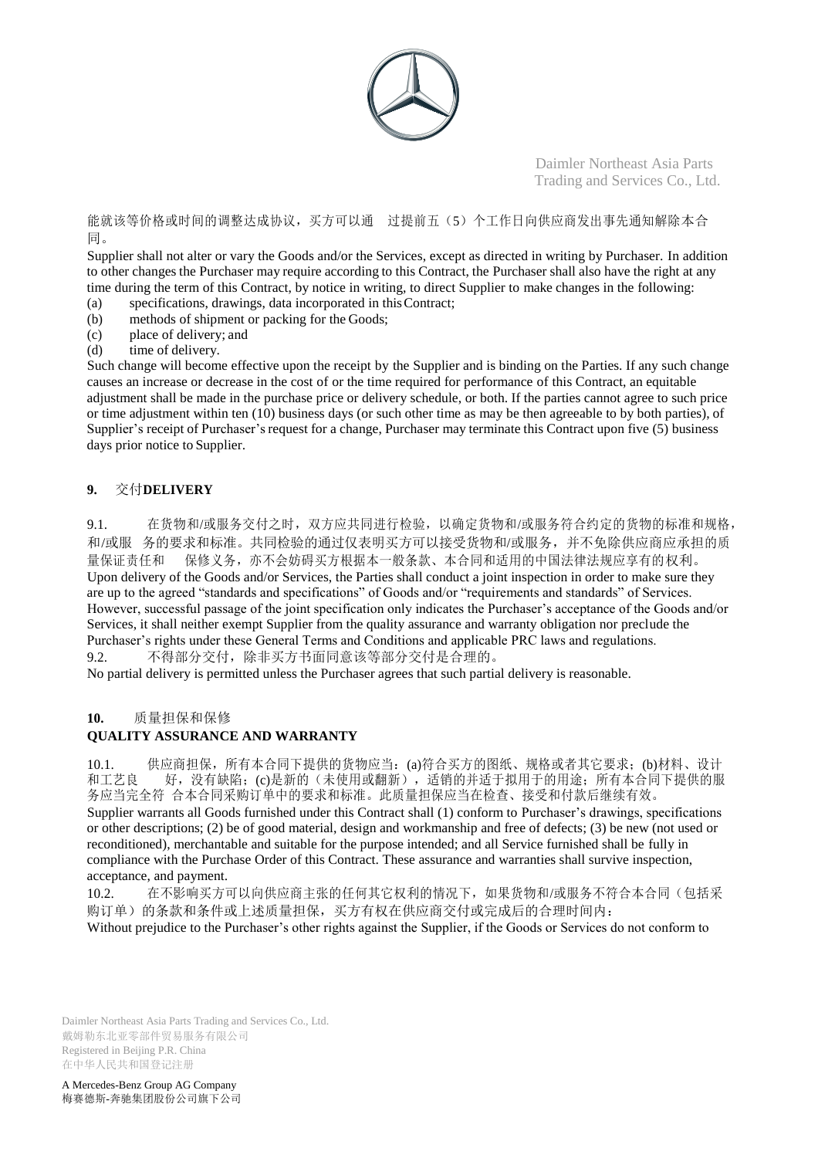

能就该等价格或时间的调整达成协议,买方可以通 过提前五(5)个工作日向供应商发出事先通知解除本合 同。

Supplier shall not alter or vary the Goods and/or the Services, except as directed in writing by Purchaser. In addition to other changes the Purchaser may require according to this Contract, the Purchaser shall also have the right at any time during the term of this Contract, by notice in writing, to direct Supplier to make changes in the following:

- (a) specifications, drawings, data incorporated in thisContract;
- (b) methods of shipment or packing for the Goods;
- (c) place of delivery; and
- (d) time of delivery.

Such change will become effective upon the receipt by the Supplier and is binding on the Parties. If any such change causes an increase or decrease in the cost of or the time required for performance of this Contract, an equitable adjustment shall be made in the purchase price or delivery schedule, or both. If the parties cannot agree to such price or time adjustment within ten (10) business days (or such other time as may be then agreeable to by both parties), of Supplier's receipt of Purchaser's request for a change, Purchaser may terminate this Contract upon five (5) business days prior notice to Supplier.

## **9.** 交付**DELIVERY**

9.1. 在货物和/或服务交付之时,双方应共同进行检验,以确定货物和/或服务符合约定的货物的标准和规格, 和/或服 务的要求和标准。共同检验的通过仅表明买方可以接受货物和/或服务,并不免除供应商应承担的质 量保证责任和 保修义务,亦不会妨碍买方根据本一般条款、本合同和适用的中国法律法规应享有的权利。 Upon delivery of the Goods and/or Services, the Parties shall conduct a joint inspection in order to make sure they are up to the agreed "standards and specifications" of Goods and/or "requirements and standards" of Services. However, successful passage of the joint specification only indicates the Purchaser's acceptance of the Goods and/or Services, it shall neither exempt Supplier from the quality assurance and warranty obligation nor preclude the Purchaser's rights under these General Terms and Conditions and applicable PRC laws and regulations. 9.2. 不得部分交付,除非买方书面同意该等部分交付是合理的。

No partial delivery is permitted unless the Purchaser agrees that such partial delivery is reasonable.

#### **10.** 质量担保和保修

## **QUALITY ASSURANCE AND WARRANTY**

10.1. 供应商担保,所有本合同下提供的货物应当: (a)符合买方的图纸、规格或者其它要求;(b)材料、设计<br>和工艺良 好,没有缺陷;(c)是新的(未使用或翻新),适销的并适于拟用于的用途;所有本合同下提供的服 好,没有缺陷;(c)是新的(未使用或翻新),适销的并适于拟用于的用途;所有本合同下提供的服 务应当完全符 合本合同采购订单中的要求和标准。此质量担保应当在检查、接受和付款后继续有效。 Supplier warrants all Goods furnished under this Contract shall (1) conform to Purchaser's drawings, specifications or other descriptions; (2) be of good material, design and workmanship and free of defects; (3) be new (not used or reconditioned), merchantable and suitable for the purpose intended; and all Service furnished shall be fully in compliance with the Purchase Order of this Contract. These assurance and warranties shall survive inspection,

acceptance, and payment.

10.2. 在不影响买方可以向供应商主张的任何其它权利的情况下,如果货物和/或服务不符合本合同(包括采 购订单)的条款和条件或上述质量担保,买方有权在供应商交付或完成后的合理时间内:

Without prejudice to the Purchaser's other rights against the Supplier, if the Goods or Services do not conform to

Daimler Northeast Asia Parts Trading and Services Co., Ltd. 戴姆勒东北亚零部件贸易服务有限公司 Registered in Beijing P.R. China 在中华人民共和国登记注册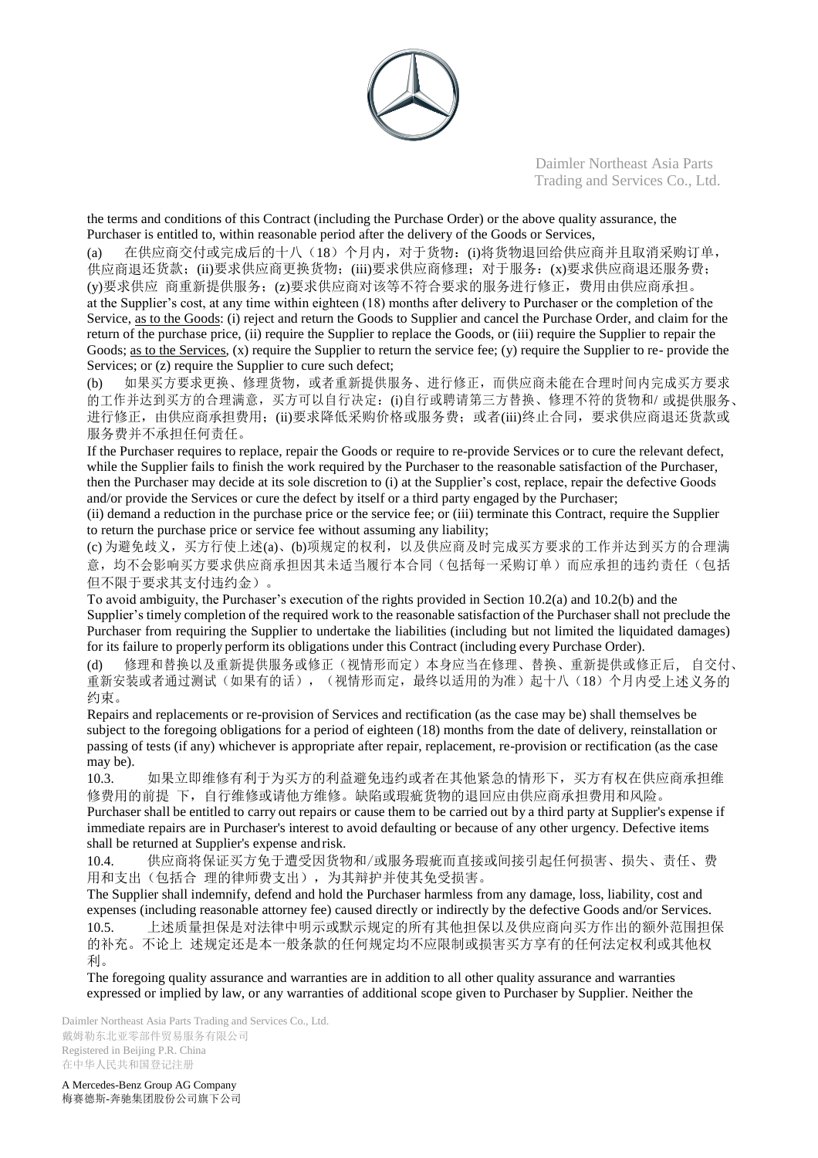

the terms and conditions of this Contract (including the Purchase Order) or the above quality assurance, the Purchaser is entitled to, within reasonable period after the delivery of the Goods or Services,

(a) 在供应商交付或完成后的十八(18)个月内,对于货物:(i)将货物退回给供应商并且取消采购订单, 供应商退还货款;(ii)要求供应商更换货物;(iii)要求供应商修理;对于服务:(x)要求供应商退还服务费; (y)要求供应 商重新提供服务;(z)要求供应商对该等不符合要求的服务进行修正,费用由供应商承担。 at the Supplier's cost, at any time within eighteen (18) months after delivery to Purchaser or the completion of the Service, as to the Goods: (i) reject and return the Goods to Supplier and cancel the Purchase Order, and claim for the return of the purchase price, (ii) require the Supplier to replace the Goods, or (iii) require the Supplier to repair the Goods; <u>as to the Services</u>, (x) require the Supplier to return the service fee; (y) require the Supplier to re- provide the Services; or  $(z)$  require the Supplier to cure such defect;

(b) 如果买方要求更换、修理货物,或者重新提供服务、进行修正,而供应商未能在合理时间内完成买方要求 的工作并达到买方的合理满意,买方可以自行决定:(i)自行或聘请第三方替换、修理不符的货物和/ 或提供服务、 进行修正,由供应商承担费用;(ii)要求降低采购价格或服务费;或者(iii)终止合同,要求供应商退还货款或 服务费并不承担任何责任。

If the Purchaser requires to replace, repair the Goods or require to re-provide Services or to cure the relevant defect, while the Supplier fails to finish the work required by the Purchaser to the reasonable satisfaction of the Purchaser, then the Purchaser may decide at its sole discretion to (i) at the Supplier's cost, replace, repair the defective Goods and/or provide the Services or cure the defect by itself or a third party engaged by the Purchaser;

(ii) demand a reduction in the purchase price or the service fee; or (iii) terminate this Contract, require the Supplier to return the purchase price or service fee without assuming any liability;

(c) 为避免歧义,买方行使上述(a)、(b)项规定的权利,以及供应商及时完成买方要求的工作并达到买方的合理满 意,均不会影响买方要求供应商承担因其未适当履行本合同(包括每一采购订单)而应承担的违约责任(包括 但不限于要求其支付违约金)。

To avoid ambiguity, the Purchaser's execution of the rights provided in Section 10.2(a) and 10.2(b) and the Supplier's timely completion of the required work to the reasonable satisfaction of the Purchaser shall not preclude the Purchaser from requiring the Supplier to undertake the liabilities (including but not limited the liquidated damages) for its failure to properly perform its obligations under this Contract (including every Purchase Order).

(d) 修理和替换以及重新提供服务或修正(视情形而定)本身应当在修理、替换、重新提供或修正后, 自交付、 重新安装或者通过测试(如果有的话),(视情形而定,最终以适用的为准)起十八(18)个月内受上述义务的 约束。

Repairs and replacements or re-provision of Services and rectification (as the case may be) shall themselves be subject to the foregoing obligations for a period of eighteen (18) months from the date of delivery, reinstallation or passing of tests (if any) whichever is appropriate after repair, replacement, re-provision or rectification (as the case may be).

10.3. 如果立即维修有利于为买方的利益避免违约或者在其他紧急的情形下,买方有权在供应商承担维 修费用的前提 下,自行维修或请他方维修。缺陷或瑕疵货物的退回应由供应商承担费用和风险。

Purchaser shall be entitled to carry out repairs or cause them to be carried out by a third party at Supplier's expense if immediate repairs are in Purchaser's interest to avoid defaulting or because of any other urgency. Defective items shall be returned at Supplier's expense andrisk.

10.4. 供应商将保证买方免于遭受因货物和/或服务瑕疵而直接或间接引起任何损害、损失、责任、费 用和支出(包括合 理的律师费支出),为其辩护并使其免受损害。

The Supplier shall indemnify, defend and hold the Purchaser harmless from any damage, loss, liability, cost and expenses (including reasonable attorney fee) caused directly or indirectly by the defective Goods and/or Services. 10.5. 上述质量担保是对法律中明示或默示规定的所有其他担保以及供应商向买方作出的额外范围担保 的补充。不论上 述规定还是本一般条款的任何规定均不应限制或损害买方享有的任何法定权利或其他权 利。

The foregoing quality assurance and warranties are in addition to all other quality assurance and warranties expressed or implied by law, or any warranties of additional scope given to Purchaser by Supplier. Neither the

Daimler Northeast Asia Parts Trading and Services Co., Ltd. 戴姆勒东北亚零部件贸易服务有限公司 Registered in Beijing P.R. China 在中华人民共和国登记注册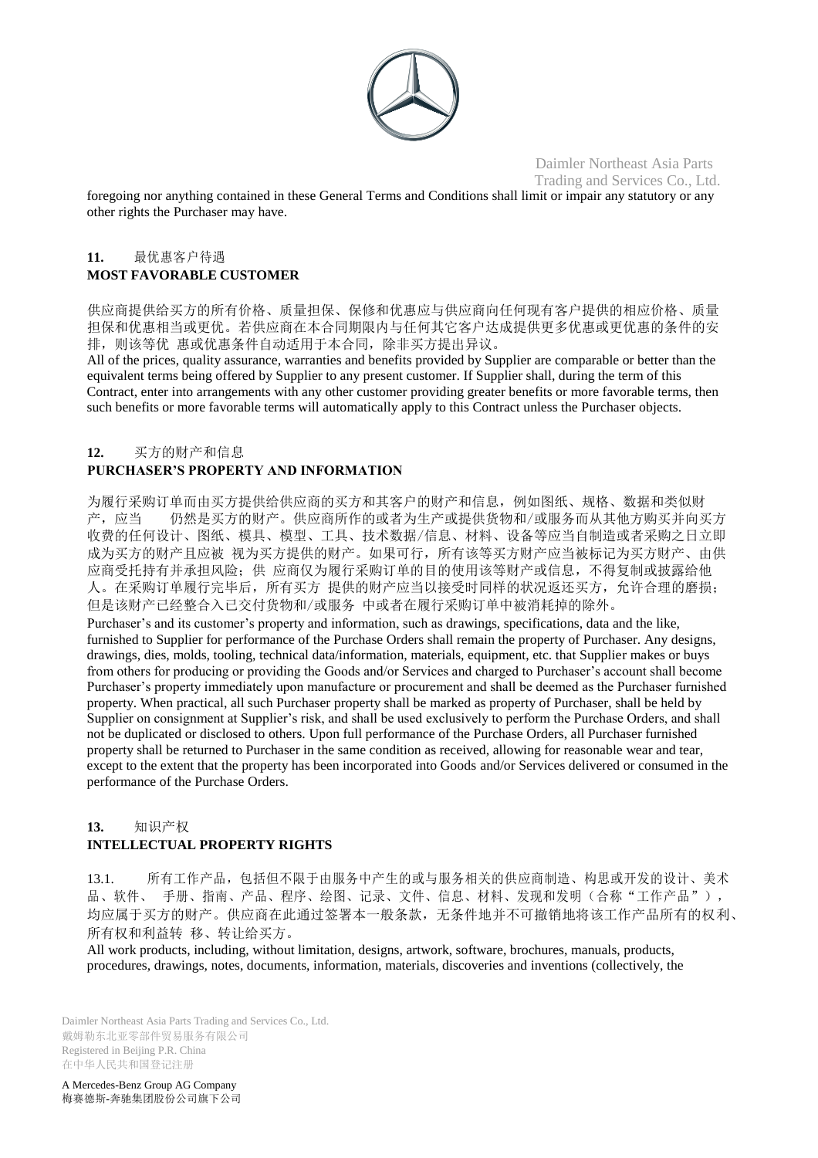

foregoing nor anything contained in these General Terms and Conditions shall limit or impair any statutory or any other rights the Purchaser may have.

## **11.** 最优惠客户待遇 **MOST FAVORABLE CUSTOMER**

供应商提供给买方的所有价格、质量担保、保修和优惠应与供应商向任何现有客户提供的相应价格、质量 担保和优惠相当或更优。若供应商在本合同期限内与任何其它客户达成提供更多优惠或更优惠的条件的安 排,则该等优 惠或优惠条件自动适用于本合同,除非买方提出异议。

All of the prices, quality assurance, warranties and benefits provided by Supplier are comparable or better than the equivalent terms being offered by Supplier to any present customer. If Supplier shall, during the term of this Contract, enter into arrangements with any other customer providing greater benefits or more favorable terms, then such benefits or more favorable terms will automatically apply to this Contract unless the Purchaser objects.

## **12.** 买方的财产和信息 **PURCHASER'S PROPERTY AND INFORMATION**

为履行采购订单而由买方提供给供应商的买方和其客户的财产和信息,例如图纸、规格、数据和类似财 产,应当 仍然是买方的财产。供应商所作的或者为生产或提供货物和/或服务而从其他方购买并向买方 收费的任何设计、图纸、模具、模型、工具、技术数据/信息、材料、设备等应当自制造或者采购之日立即 成为买方的财产且应被 视为买方提供的财产。如果可行,所有该等买方财产应当被标记为买方财产、由供 应商受托持有并承担风险;供 应商仅为履行采购订单的目的使用该等财产或信息,不得复制或披露给他 人。在采购订单履行完毕后,所有买方 提供的财产应当以接受时同样的状况返还买方,允许合理的磨损; 但是该财产已经整合入已交付货物和/或服务 中或者在履行采购订单中被消耗掉的除外。 Purchaser's and its customer's property and information, such as drawings, specifications, data and the like, furnished to Supplier for performance of the Purchase Orders shall remain the property of Purchaser. Any designs, drawings, dies, molds, tooling, technical data/information, materials, equipment, etc. that Supplier makes or buys from others for producing or providing the Goods and/or Services and charged to Purchaser's account shall become Purchaser's property immediately upon manufacture or procurement and shall be deemed as the Purchaser furnished property. When practical, all such Purchaser property shall be marked as property of Purchaser, shall be held by Supplier on consignment at Supplier's risk, and shall be used exclusively to perform the Purchase Orders, and shall not be duplicated or disclosed to others. Upon full performance of the Purchase Orders, all Purchaser furnished property shall be returned to Purchaser in the same condition as received, allowing for reasonable wear and tear, except to the extent that the property has been incorporated into Goods and/or Services delivered or consumed in the performance of the Purchase Orders.

## **13.** 知识产权 **INTELLECTUAL PROPERTY RIGHTS**

13.1. 所有工作产品,包括但不限于由服务中产生的或与服务相关的供应商制造、构思或开发的设计、美术 品、软件、手册、指南、产品、程序、绘图、记录、文件、信息、材料、发现和发明(合称"工作产品"), 均应属于买方的财产。供应商在此通过签署本一般条款,无条件地并不可撤销地将该工作产品所有的权利、 所有权和利益转 移、转让给买方。

All work products, including, without limitation, designs, artwork, software, brochures, manuals, products, procedures, drawings, notes, documents, information, materials, discoveries and inventions (collectively, the

Daimler Northeast Asia Parts Trading and Services Co., Ltd. 戴姆勒东北亚零部件贸易服务有限公司 Registered in Beijing P.R. China 在中华人民共和国登记注册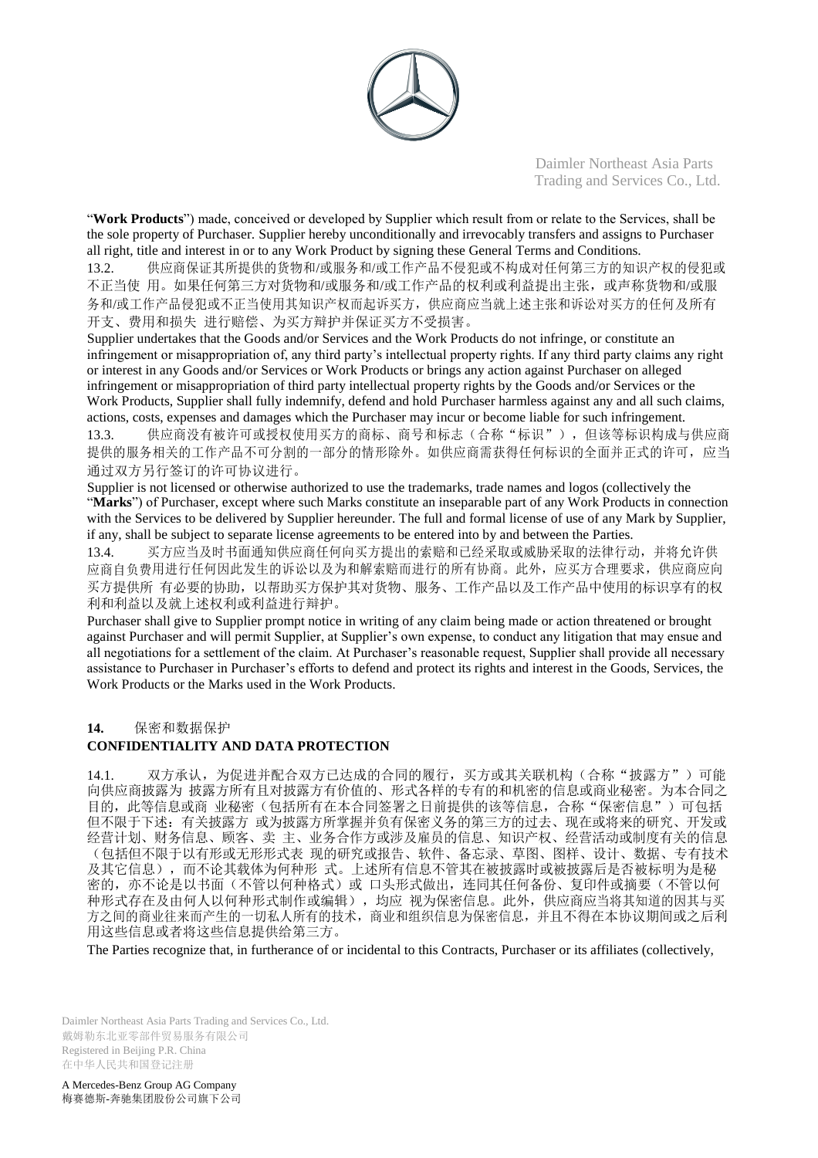

"**Work Products**") made, conceived or developed by Supplier which result from or relate to the Services, shall be the sole property of Purchaser. Supplier hereby unconditionally and irrevocably transfers and assigns to Purchaser all right, title and interest in or to any Work Product by signing these General Terms and Conditions.

13.2. 供应商保证其所提供的货物和/或服务和/或工作产品不侵犯或不构成对任何第三方的知识产权的侵犯或 不正当使 用。如果任何第三方对货物和/或服务和/或工作产品的权利或利益提出主张,或声称货物和/或服 务和/或工作产品侵犯或不正当使用其知识产权而起诉买方,供应商应当就上述主张和诉讼对买方的任何及所有 开支、费用和损失 进行赔偿、为买方辩护并保证买方不受损害。

Supplier undertakes that the Goods and/or Services and the Work Products do not infringe, or constitute an infringement or misappropriation of, any third party's intellectual property rights. If any third party claims any right or interest in any Goods and/or Services or Work Products or brings any action against Purchaser on alleged infringement or misappropriation of third party intellectual property rights by the Goods and/or Services or the Work Products, Supplier shall fully indemnify, defend and hold Purchaser harmless against any and all such claims, actions, costs, expenses and damages which the Purchaser may incur or become liable for such infringement. 13.3. 供应商没有被许可或授权使用买方的商标、商号和标志(合称"标识"),但该等标识构成与供应商

提供的服务相关的工作产品不可分割的一部分的情形除外。如供应商需获得任何标识的全面并正式的许可,应当 通过双方另行签订的许可协议进行。

Supplier is not licensed or otherwise authorized to use the trademarks, trade names and logos (collectively the "**Marks**") of Purchaser, except where such Marks constitute an inseparable part of any Work Products in connection with the Services to be delivered by Supplier hereunder. The full and formal license of use of any Mark by Supplier, if any, shall be subject to separate license agreements to be entered into by and between the Parties.

13.4. 买方应当及时书面通知供应商任何向买方提出的索赔和已经采取或威胁采取的法律行动,并将允许供 应商自负费用进行任何因此发生的诉讼以及为和解索赔而进行的所有协商。此外,应买方合理要求,供应商应向 买方提供所 有必要的协助,以帮助买方保护其对货物、服务、工作产品以及工作产品中使用的标识享有的权 利和利益以及就上述权利或利益进行辩护。

Purchaser shall give to Supplier prompt notice in writing of any claim being made or action threatened or brought against Purchaser and will permit Supplier, at Supplier's own expense, to conduct any litigation that may ensue and all negotiations for a settlement of the claim. At Purchaser's reasonable request, Supplier shall provide all necessary assistance to Purchaser in Purchaser's efforts to defend and protect its rights and interest in the Goods, Services, the Work Products or the Marks used in the Work Products.

## **14.** 保密和数据保护

## **CONFIDENTIALITY AND DATA PROTECTION**

14.1. 双方承认,为促进并配合双方已达成的合同的履行,买方或其关联机构(合称"披露方")可能 向供应商披露为 披露方所有且对披露方有价值的、形式各样的专有的和机密的信息或商业秘密。为本合同之 目的,此等信息或商业秘密(包括所有在本合同签署之日前提供的该等信息,合称"保密信息")可包括 但不限于下述:有关披露方 或为披露方所掌握并负有保密义务的第三方的过去、现在或将来的研究、开发或 经营计划、财务信息、顾客、卖 主、业务合作方或涉及雇员的信息、知识产权、经营活动或制度有关的信息 (包括但不限于以有形或无形形式表 现的研究或报告、软件、备忘录、草图、图样、设计、数据、专有技术 及其它信息),而不论其载体为何种形 式。上述所有信息不管其在被披露时或被披露后是否被标明为是秘 密的,亦不论是以书面(不管以何种格式)或 口头形式做出,连同其任何备份、复印件或摘要(不管以何 种形式存在及由何人以何种形式制作或编辑),均应 视为保密信息。此外,供应商应当将其知道的因其与买 方之间的商业往来而产生的一切私人所有的技术,商业和组织信息为保密信息,并且不得在本协议期间或之后利 用这些信息或者将这些信息提供给第三方。

The Parties recognize that, in furtherance of or incidental to this Contracts, Purchaser or its affiliates (collectively,

Daimler Northeast Asia Parts Trading and Services Co., Ltd. 戴姆勒东北亚零部件贸易服务有限公司 Registered in Beijing P.R. China 在中华人民共和国登记注册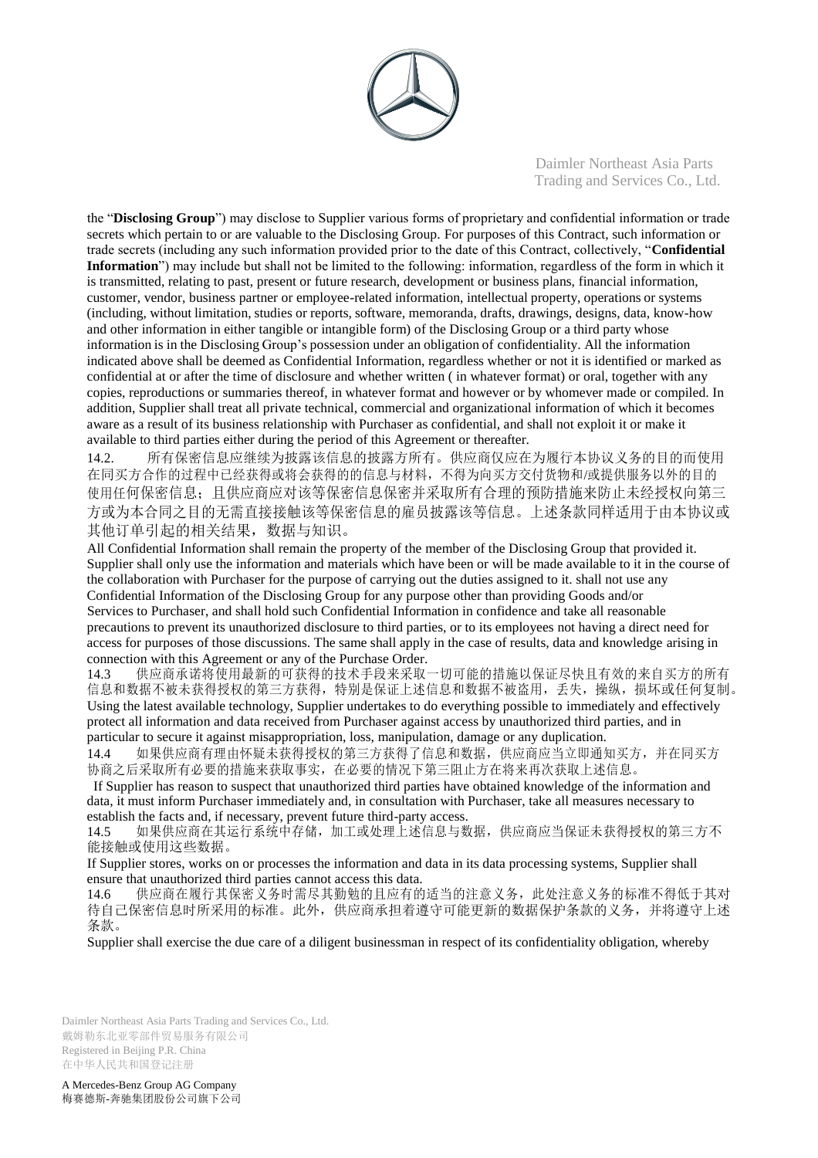

the "**Disclosing Group**") may disclose to Supplier various forms of proprietary and confidential information or trade secrets which pertain to or are valuable to the Disclosing Group. For purposes of this Contract, such information or trade secrets (including any such information provided prior to the date of this Contract, collectively, "**Confidential Information**") may include but shall not be limited to the following: information, regardless of the form in which it is transmitted, relating to past, present or future research, development or business plans, financial information, customer, vendor, business partner or employee-related information, intellectual property, operations or systems (including, without limitation, studies or reports, software, memoranda, drafts, drawings, designs, data, know-how and other information in either tangible or intangible form) of the Disclosing Group or a third party whose information is in the Disclosing Group's possession under an obligation of confidentiality. All the information indicated above shall be deemed as Confidential Information, regardless whether or not it is identified or marked as confidential at or after the time of disclosure and whether written ( in whatever format) or oral, together with any copies, reproductions or summaries thereof, in whatever format and however or by whomever made or compiled. In addition, Supplier shall treat all private technical, commercial and organizational information of which it becomes aware as a result of its business relationship with Purchaser as confidential, and shall not exploit it or make it available to third parties either during the period of this Agreement or thereafter.

14.2. 所有保密信息应继续为披露该信息的披露方所有。供应商仅应在为履行本协议义务的目的而使用 在同买方合作的过程中已经获得或将会获得的的信息与材料,不得为向买方交付货物和/或提供服务以外的目的 使用任何保密信息;且供应商应对该等保密信息保密并采取所有合理的预防措施来防止未经授权向第三 方或为本合同之目的无需直接接触该等保密信息的雇员披露该等信息。上述条款同样适用于由本协议或 其他订单引起的相关结果,数据与知识。

All Confidential Information shall remain the property of the member of the Disclosing Group that provided it. Supplier shall only use the information and materials which have been or will be made available to it in the course of the collaboration with Purchaser for the purpose of carrying out the duties assigned to it. shall not use any Confidential Information of the Disclosing Group for any purpose other than providing Goods and/or Services to Purchaser, and shall hold such Confidential Information in confidence and take all reasonable precautions to prevent its unauthorized disclosure to third parties, or to its employees not having a direct need for access for purposes of those discussions. The same shall apply in the case of results, data and knowledge arising in connection with this Agreement or any of the Purchase Order.<br>143 供应商承诺将使用最新的可获得的技术手段来采取-

供应商承诺将使用最新的可获得的技术手段来采取一切可能的措施以保证尽快且有效的来自买方的所有 信息和数据不被未获得授权的第三方获得,特别是保证上述信息和数据不被盗用,丢失,操纵,损坏或任何复制。 Using the latest available technology, Supplier undertakes to do everything possible to immediately and effectively protect all information and data received from Purchaser against access by unauthorized third parties, and in particular to secure it against misappropriation, loss, manipulation, damage or any duplication.

14.4 如果供应商有理由怀疑未获得授权的第三方获得了信息和数据,供应商应当立即通知买方,并在同买方 协商之后采取所有必要的措施来获取事实,在必要的情况下第三阻止方在将来再次获取上述信息。

If Supplier has reason to suspect that unauthorized third parties have obtained knowledge of the information and data, it must inform Purchaser immediately and, in consultation with Purchaser, take all measures necessary to establish the facts and, if necessary, prevent future third-party access.

14.5 如果供应商在其运行系统中存储,加工或处理上述信息与数据,供应商应当保证未获得授权的第三方不 能接触或使用这些数据。

If Supplier stores, works on or processes the information and data in its data processing systems, Supplier shall ensure that unauthorized third parties cannot access this data.

14.6 供应商在履行其保密义务时需尽其勤勉的且应有的适当的注意义务,此处注意义务的标准不得低于其对 待自己保密信息时所采用的标准。此外,供应商承担着遵守可能更新的数据保护条款的义务,并将遵守上述 条款。

Supplier shall exercise the due care of a diligent businessman in respect of its confidentiality obligation, whereby

Daimler Northeast Asia Parts Trading and Services Co., Ltd. 戴姆勒东北亚零部件贸易服务有限公司 Registered in Beijing P.R. China 在中华人民共和国登记注册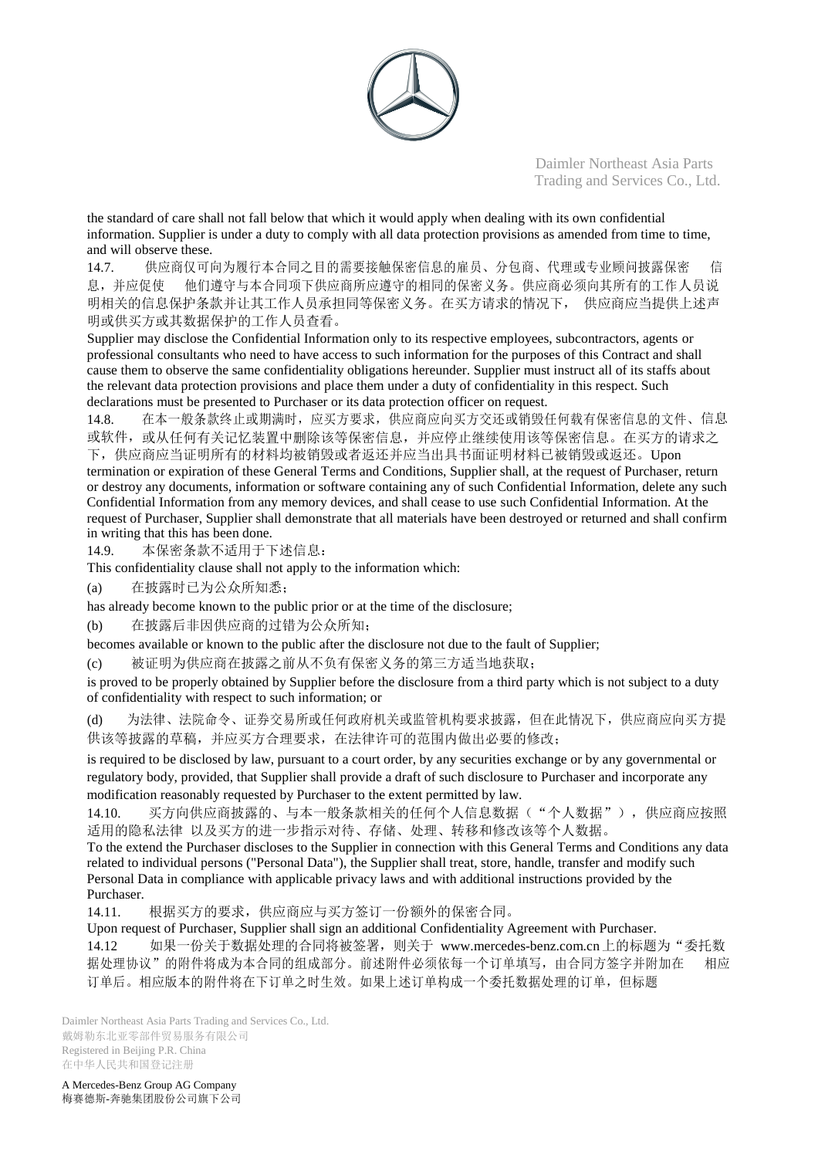

the standard of care shall not fall below that which it would apply when dealing with its own confidential information. Supplier is under a duty to comply with all data protection provisions as amended from time to time, and will observe these.

14.7. 供应商仅可向为履行本合同之目的需要接触保密信息的雇员、分包商、代理或专业顾问披露保密 信 息,并应促使 他们遵守与本合同项下供应商所应遵守的相同的保密义务。供应商必须向其所有的工作人员说 明相关的信息保护条款并让其工作人员承担同等保密义务。在买方请求的情况下, 供应商应当提供上述声 明或供买方或其数据保护的工作人员查看。

Supplier may disclose the Confidential Information only to its respective employees, subcontractors, agents or professional consultants who need to have access to such information for the purposes of this Contract and shall cause them to observe the same confidentiality obligations hereunder. Supplier must instruct all of its staffs about the relevant data protection provisions and place them under a duty of confidentiality in this respect. Such declarations must be presented to Purchaser or its data protection officer on request.

14.8. 在本一般条款终止或期满时,应买方要求,供应商应向买方交还或销毁任何载有保密信息的文件、信息 或软件,或从任何有关记忆装置中删除该等保密信息,并应停止继续使用该等保密信息。在买方的请求之 下,供应商应当证明所有的材料均被销毁或者返还并应当出具书面证明材料已被销毁或返还。Upon termination or expiration of these General Terms and Conditions, Supplier shall, at the request of Purchaser, return

or destroy any documents, information or software containing any of such Confidential Information, delete any such Confidential Information from any memory devices, and shall cease to use such Confidential Information. At the request of Purchaser, Supplier shall demonstrate that all materials have been destroyed or returned and shall confirm in writing that this has been done.

14.9. 本保密条款不适用于下述信息:

This confidentiality clause shall not apply to the information which:

(a) 在披露时已为公众所知悉;

has already become known to the public prior or at the time of the disclosure;

(b) 在披露后非因供应商的过错为公众所知;

becomes available or known to the public after the disclosure not due to the fault of Supplier;

(c) 被证明为供应商在披露之前从不负有保密义务的第三方适当地获取;

is proved to be properly obtained by Supplier before the disclosure from a third party which is not subject to a duty of confidentiality with respect to such information; or

(d) 为法律、法院命令、证券交易所或任何政府机关或监管机构要求披露,但在此情况下,供应商应向买方提 供该等披露的草稿,并应买方合理要求,在法律许可的范围内做出必要的修改;

is required to be disclosed by law, pursuant to a court order, by any securities exchange or by any governmental or regulatory body, provided, that Supplier shall provide a draft of such disclosure to Purchaser and incorporate any modification reasonably requested by Purchaser to the extent permitted by law.

14.10. 买方向供应商披露的、与本一般条款相关的任何个人信息数据( "个人数据"), 供应商应按照 适用的隐私法律 以及买方的进一步指示对待、存储、处理、转移和修改该等个人数据。

To the extend the Purchaser discloses to the Supplier in connection with this General Terms and Conditions any data related to individual persons ("Personal Data"), the Supplier shall treat, store, handle, transfer and modify such Personal Data in compliance with applicable privacy laws and with additional instructions provided by the Purchaser.

14.11. 根据买方的要求,供应商应与买方签订一份额外的保密合同。

Upon request of Purchaser, Supplier shall sign an additional Confidentiality Agreement with Purchaser.

14.12 如果一份关于数据处理的合同将被签署,则关于 [www.mercedes-benz.com.cn](http://www.mercedes-benz.com.cn/)上的标题为"委托数 据处理协议"的附件将成为本合同的组成部分。前述附件必须依每一个订单填写,由合同方签字并附加在 相应 订单后。相应版本的附件将在下订单之时生效。如果上述订单构成一个委托数据处理的订单,但标题

Daimler Northeast Asia Parts Trading and Services Co., Ltd. 戴姆勒东北亚零部件贸易服务有限公司 Registered in Beijing P.R. China 在中华人民共和国登记注册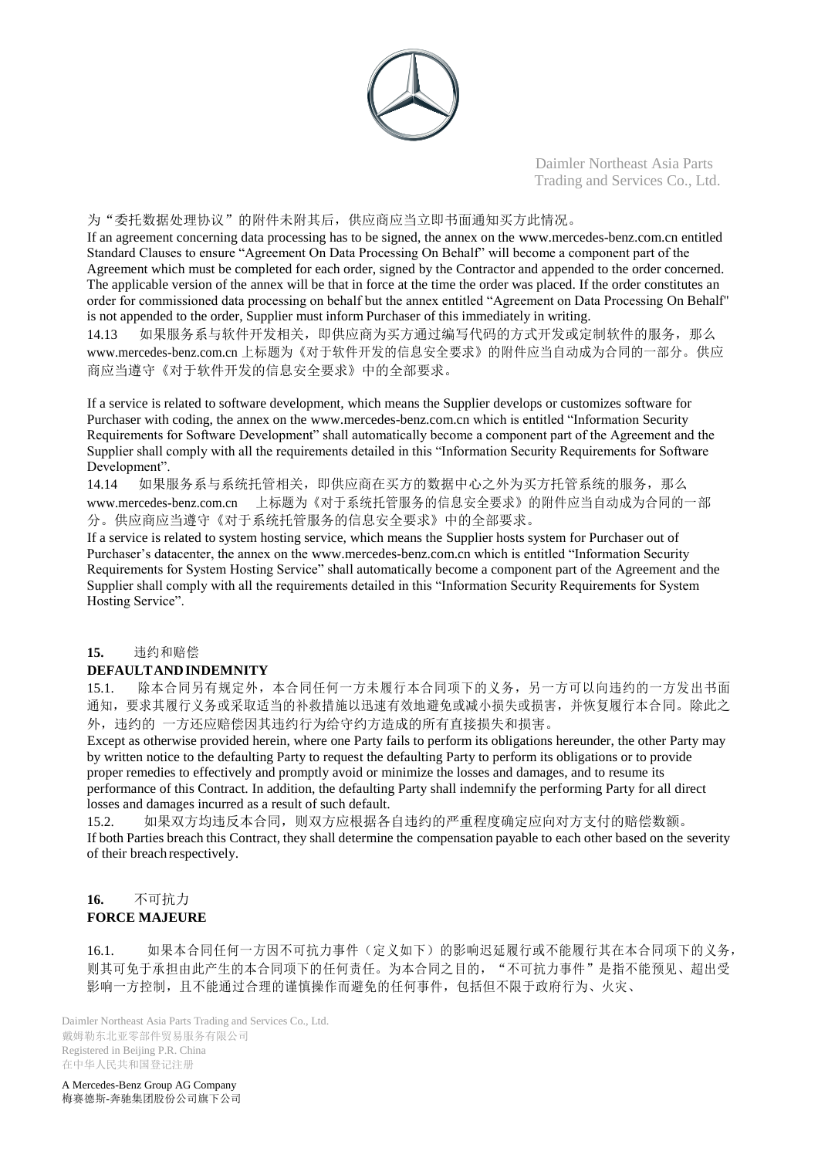

#### 为"委托数据处理协议"的附件未附其后,供应商应当立即书面通知买方此情况。

If an agreement concerning data processing has to be signed, the annex on the [www.mercedes-benz.com.cn](http://www.mercedes-benz.com.cn/) entitled Standard Clauses to ensure "Agreement On Data Processing On Behalf" will become a component part of the Agreement which must be completed for each order, signed by the Contractor and appended to the order concerned. The applicable version of the annex will be that in force at the time the order was placed. If the order constitutes an order for commissioned data processing on behalf but the annex entitled "Agreement on Data Processing On Behalf" is not appended to the order, Supplier must inform Purchaser of this immediately in writing.

14.13 如果服务系与软件开发相关,即供应商为买方通过编写代码的方式开发或定制软件的服务,那么 [www.mercedes-benz.com.cn](http://www.mercedes-benz.com.cn/) 上标题为《对于软件开发的信息安全要求》的附件应当自动成为合同的一部分。供应 商应当遵守《对于软件开发的信息安全要求》中的全部要求。

If a service is related to software development, which means the Supplier develops or customizes software for Purchaser with coding, the annex on the [www.mercedes-benz.com.cn w](http://www.mercedes-benz.com.cn/)hich is entitled "Information Security Requirements for Software Development" shall automatically become a component part of the Agreement and the Supplier shall comply with all the requirements detailed in this "Information Security Requirements for Software Development".

14.14 如果服务系与系统托管相关,即供应商在买方的数据中心之外为买方托管系统的服务,那么 [www.mercedes-benz.com.cn](http://www.mercedes-benz.com.cn/) 上标题为《对于系统托管服务的信息安全要求》的附件应当自动成为合同的一部 分。供应商应当遵守《对于系统托管服务的信息安全要求》中的全部要求。

If a service is related to system hosting service, which means the Supplier hosts system for Purchaser out of Purchaser's datacenter, the annex on the [www.mercedes-benz.com.cn w](http://www.mercedes-benz.com.cn/)hich is entitled "Information Security Requirements for System Hosting Service" shall automatically become a component part of the Agreement and the Supplier shall comply with all the requirements detailed in this "Information Security Requirements for System Hosting Service".

## **15.** 违约和赔偿

## **DEFAULTANDINDEMNITY**

15.1. 除本合同另有规定外,本合同任何一方未履行本合同项下的义务,另一方可以向违约的一方发出书面 通知,要求其履行义务或采取适当的补救措施以迅速有效地避免或减小损失或损害,并恢复履行本合同。除此之 外,违约的 一方还应赔偿因其违约行为给守约方造成的所有直接损失和损害。

Except as otherwise provided herein, where one Party fails to perform its obligations hereunder, the other Party may by written notice to the defaulting Party to request the defaulting Party to perform its obligations or to provide proper remedies to effectively and promptly avoid or minimize the losses and damages, and to resume its performance of this Contract. In addition, the defaulting Party shall indemnify the performing Party for all direct losses and damages incurred as a result of such default.

15.2. 如果双方均违反本合同,则双方应根据各自违约的严重程度确定应向对方支付的赔偿数额。 If both Parties breach this Contract, they shall determine the compensation payable to each other based on the severity of their breach respectively.

## **16.** 不可抗力 **FORCE MAJEURE**

16.1. 如果本合同任何一方因不可抗力事件(定义如下)的影响迟延履行或不能履行其在本合同项下的义务, 则其可免于承担由此产生的本合同项下的任何责任。为本合同之目的, "不可抗力事件"是指不能预见、超出受 影响一方控制,且不能通过合理的谨慎操作而避免的任何事件,包括但不限于政府行为、火灾、

Daimler Northeast Asia Parts Trading and Services Co., Ltd. 戴姆勒东北亚零部件贸易服务有限公司 Registered in Beijing P.R. China 在中华人民共和国登记注册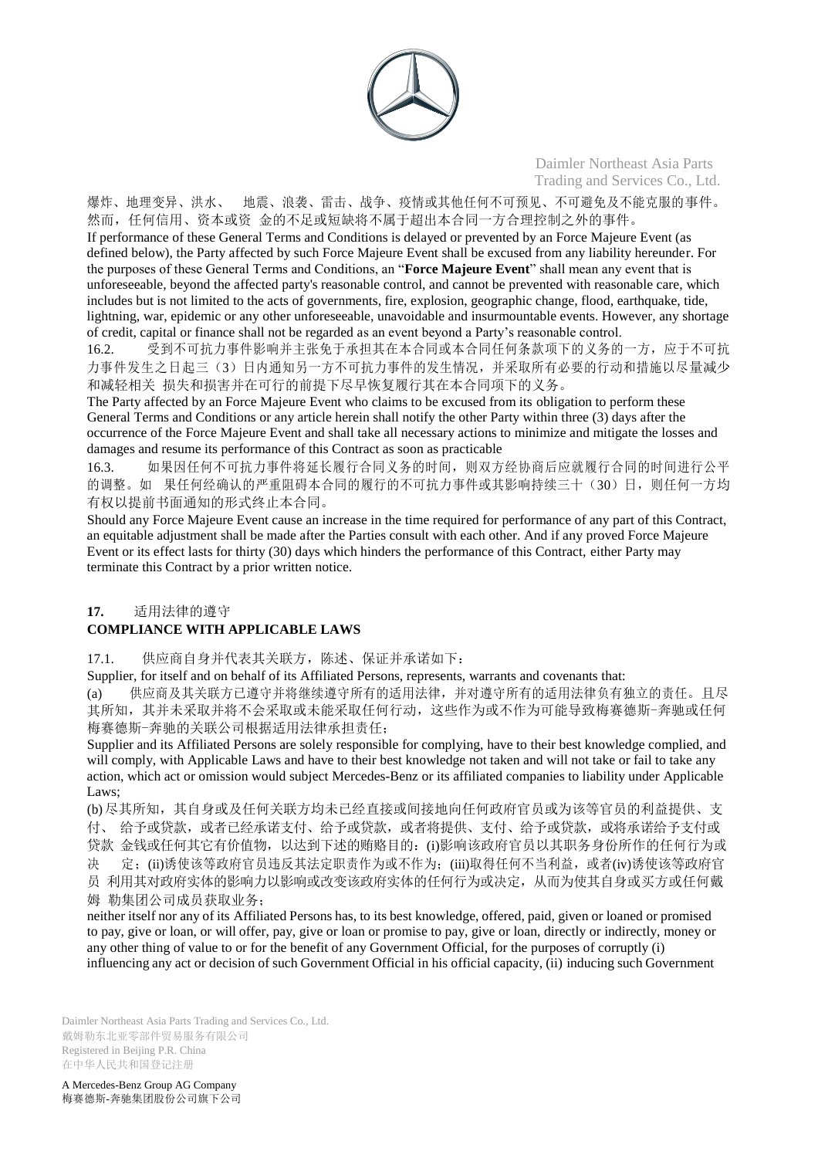

爆炸、地理变异、洪水、 地震、浪袭、雷击、战争、疫情或其他任何不可预见、不可避免及不能克服的事件。 然而,任何信用、资本或资 金的不足或短缺将不属于超出本合同一方合理控制之外的事件。

If performance of these General Terms and Conditions is delayed or prevented by an Force Majeure Event (as defined below), the Party affected by such Force Majeure Event shall be excused from any liability hereunder. For the purposes of these General Terms and Conditions, an "**Force Majeure Event**" shall mean any event that is unforeseeable, beyond the affected party's reasonable control, and cannot be prevented with reasonable care, which includes but is not limited to the acts of governments, fire, explosion, geographic change, flood, earthquake, tide, lightning, war, epidemic or any other unforeseeable, unavoidable and insurmountable events. However, any shortage of credit, capital or finance shall not be regarded as an event beyond a Party's reasonable control.

16.2. 受到不可抗力事件影响并主张免于承担其在本合同或本合同任何条款项下的义务的一方,应于不可抗 力事件发生之日起三(3)日内通知另一方不可抗力事件的发生情况,并采取所有必要的行动和措施以尽量减少 和减轻相关 损失和损害并在可行的前提下尽早恢复履行其在本合同项下的义务。

The Party affected by an Force Majeure Event who claims to be excused from its obligation to perform these General Terms and Conditions or any article herein shall notify the other Party within three (3) days after the occurrence of the Force Majeure Event and shall take all necessary actions to minimize and mitigate the losses and damages and resume its performance of this Contract as soon as practicable

16.3. 如果因任何不可抗力事件将延长履行合同义务的时间,则双方经协商后应就履行合同的时间进行公平 的调整。如 果任何经确认的严重阻碍本合同的履行的不可抗力事件或其影响持续三十(30)日,则任何一方均 有权以提前书面通知的形式终止本合同。

Should any Force Majeure Event cause an increase in the time required for performance of any part of this Contract, an equitable adjustment shall be made after the Parties consult with each other. And if any proved Force Majeure Event or its effect lasts for thirty (30) days which hinders the performance of this Contract, either Party may terminate this Contract by a prior written notice.

## **17.** 适用法律的遵守

## **COMPLIANCE WITH APPLICABLE LAWS**

17.1. 供应商自身并代表其关联方,陈述、保证并承诺如下:

Supplier, for itself and on behalf of its Affiliated Persons, represents, warrants and covenants that:

(a) 供应商及其关联方已遵守并将继续遵守所有的适用法律,并对遵守所有的适用法律负有独立的责任。且尽 其所知,其并未采取并将不会采取或未能采取任何行动,这些作为或不作为可能导致梅赛德斯-奔驰或任何 梅赛德斯-奔驰的关联公司根据适用法律承担责任;

Supplier and its Affiliated Persons are solely responsible for complying, have to their best knowledge complied, and will comply, with Applicable Laws and have to their best knowledge not taken and will not take or fail to take any action, which act or omission would subject Mercedes-Benz or its affiliated companies to liability under Applicable Laws:

(b)尽其所知,其自身或及任何关联方均未已经直接或间接地向任何政府官员或为该等官员的利益提供、支 付、 给予或贷款,或者已经承诺支付、给予或贷款,或者将提供、支付、给予或贷款,或将承诺给予支付或 贷款 金钱或任何其它有价值物,以达到下述的贿赂目的:(i)影响该政府官员以其职务身份所作的任何行为或 决 定;(ii)诱使该等政府官员违反其法定职责作为或不作为;(iii)取得任何不当利益,或者(iv)诱使该等政府官 员 利用其对政府实体的影响力以影响或改变该政府实体的任何行为或决定,从而为使其自身或买方或任何戴 姆 勒集团公司成员获取业务;

neither itself nor any of its Affiliated Persons has, to its best knowledge, offered, paid, given or loaned or promised to pay, give or loan, or will offer, pay, give or loan or promise to pay, give or loan, directly or indirectly, money or any other thing of value to or for the benefit of any Government Official, for the purposes of corruptly (i) influencing any act or decision of such Government Official in his official capacity, (ii) inducing such Government

Daimler Northeast Asia Parts Trading and Services Co., Ltd. 戴姆勒东北亚零部件贸易服务有限公司 Registered in Beijing P.R. China 在中华人民共和国登记注册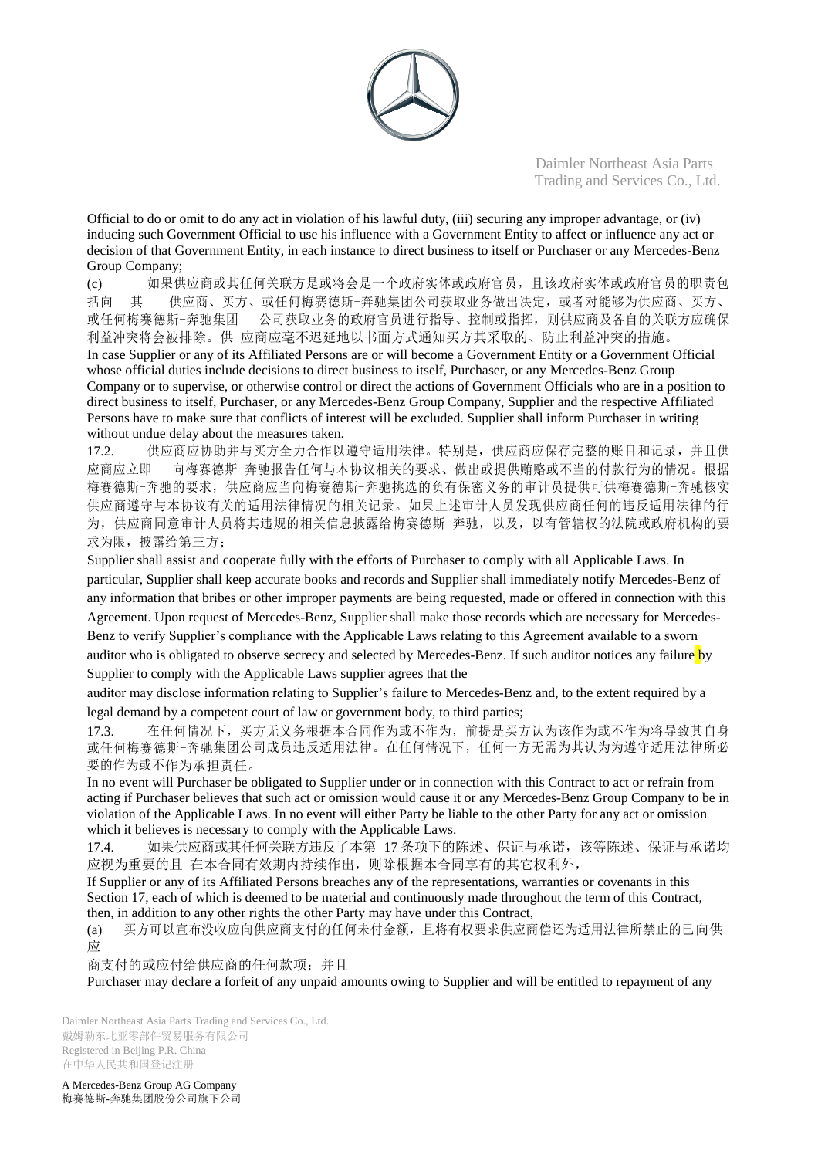

Official to do or omit to do any act in violation of his lawful duty, (iii) securing any improper advantage, or (iv) inducing such Government Official to use his influence with a Government Entity to affect or influence any act or decision of that Government Entity, in each instance to direct business to itself or Purchaser or any Mercedes-Benz Group Company;

(c) 如果供应商或其任何关联方是或将会是一个政府实体或政府官员,且该政府实体或政府官员的职责包 括向 其 供应商、买方、或任何梅赛德斯-奔驰集团公司获取业务做出决定,或者对能够为供应商、买方、 或任何梅赛德斯-奔驰集团 公司获取业务的政府官员进行指导、控制或指挥,则供应商及各自的关联方应确保 利益冲突将会被排除。供 应商应毫不迟延地以书面方式通知买方其采取的、防止利益冲突的措施。 In case Supplier or any of its Affiliated Persons are or will become a Government Entity or a Government Official whose official duties include decisions to direct business to itself, Purchaser, or any Mercedes-Benz Group Company or to supervise, or otherwise control or direct the actions of Government Officials who are in a position to direct business to itself, Purchaser, or any Mercedes-Benz Group Company, Supplier and the respective Affiliated Persons have to make sure that conflicts of interest will be excluded. Supplier shall inform Purchaser in writing without undue delay about the measures taken.

17.2. 供应商应协助并与买方全力合作以遵守适用法律。特别是,供应商应保存完整的账目和记录,并且供 应商应立即 向梅赛德斯-奔驰报告任何与本协议相关的要求、做出或提供贿赂或不当的付款行为的情况。根据 梅赛德斯-奔驰的要求,供应商应当向梅赛德斯-奔驰挑选的负有保密义务的审计员提供可供梅赛德斯-奔驰核实 供应商遵守与本协议有关的适用法律情况的相关记录。如果上述审计人员发现供应商任何的违反适用法律的行 为,供应商同意审计人员将其违规的相关信息披露给梅赛德斯-奔驰,以及,以有管辖权的法院或政府机构的要 求为限, 披露给第三方;

Supplier shall assist and cooperate fully with the efforts of Purchaser to comply with all Applicable Laws. In particular, Supplier shall keep accurate books and records and Supplier shall immediately notify Mercedes-Benz of any information that bribes or other improper payments are being requested, made or offered in connection with this Agreement. Upon request of Mercedes-Benz, Supplier shall make those records which are necessary for Mercedes-Benz to verify Supplier's compliance with the Applicable Laws relating to this Agreement available to a sworn auditor who is obligated to observe secrecy and selected by Mercedes-Benz. If such auditor notices any failure by Supplier to comply with the Applicable Laws supplier agrees that the

auditor may disclose information relating to Supplier's failure to Mercedes-Benz and, to the extent required by a legal demand by a competent court of law or government body, to third parties;

17.3. 在任何情况下,买方无义务根据本合同作为或不作为,前提是买方认为该作为或不作为将导致其自身 或任何梅赛德斯-奔驰集团公司成员违反适用法律。在任何情况下,任何一方无需为其认为为遵守适用法律所必 要的作为或不作为承担责任。

In no event will Purchaser be obligated to Supplier under or in connection with this Contract to act or refrain from acting if Purchaser believes that such act or omission would cause it or any Mercedes-Benz Group Company to be in violation of the Applicable Laws. In no event will either Party be liable to the other Party for any act or omission which it believes is necessary to comply with the Applicable Laws.

17.4. 如果供应商或其任何关联方违反了本第 17 条项下的陈述、保证与承诺, 该等陈述、保证与承诺均 应视为重要的且 在本合同有效期内持续作出,则除根据本合同享有的其它权利外,

If Supplier or any of its Affiliated Persons breaches any of the representations, warranties or covenants in this Section 17, each of which is deemed to be material and continuously made throughout the term of this Contract, then, in addition to any other rights the other Party may have under this Contract,

(a) 买方可以宣布没收应向供应商支付的任何未付金额,且将有权要求供应商偿还为适用法律所禁止的已向供 应

商支付的或应付给供应商的任何款项;并且

Purchaser may declare a forfeit of any unpaid amounts owing to Supplier and will be entitled to repayment of any

Daimler Northeast Asia Parts Trading and Services Co., Ltd. 戴姆勒东北亚零部件贸易服务有限公司 Registered in Beijing P.R. China 在中华人民共和国登记注册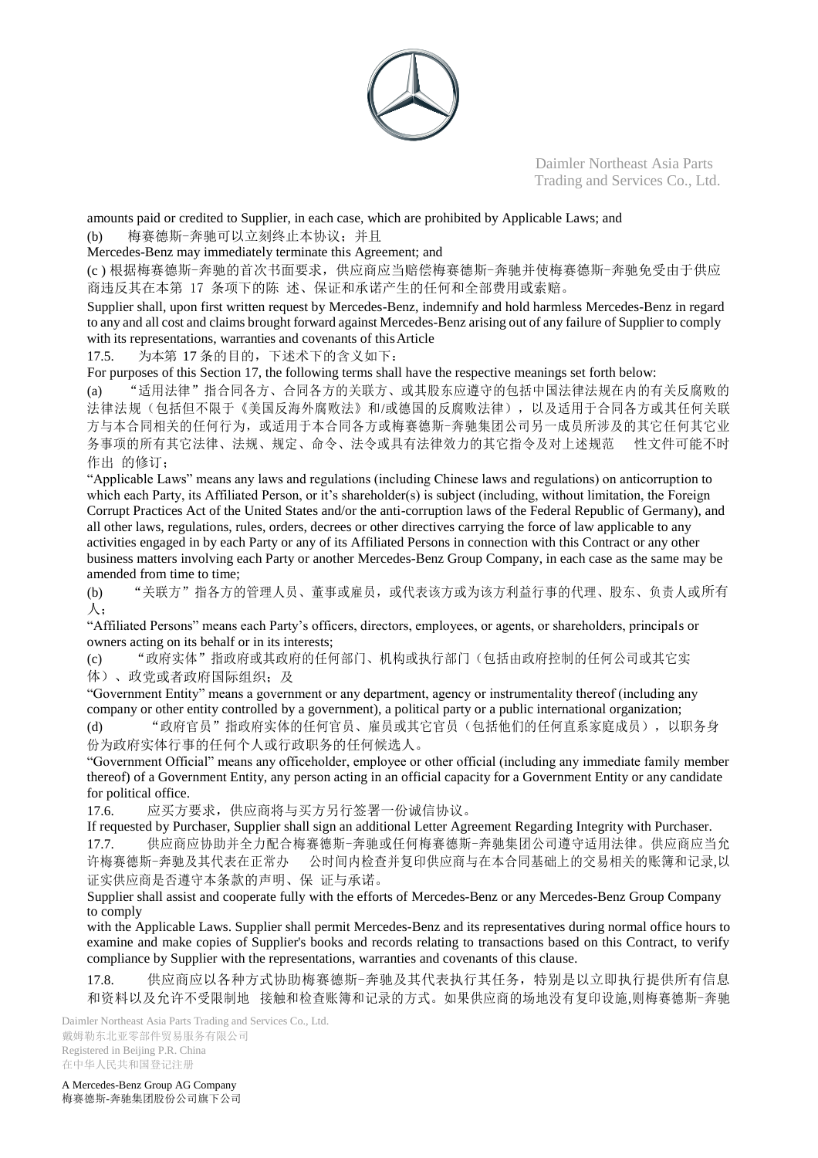

amounts paid or credited to Supplier, in each case, which are prohibited by Applicable Laws; and (b) 梅赛德斯-奔驰可以立刻终止本协议;并且

Mercedes-Benz may immediately terminate this Agreement; and

(c ) 根据梅赛德斯-奔驰的首次书面要求,供应商应当赔偿梅赛德斯-奔驰并使梅赛德斯-奔驰免受由于供应 商违反其在本第 17 条项下的陈 述、保证和承诺产生的任何和全部费用或索赔。

Supplier shall, upon first written request by Mercedes-Benz, indemnify and hold harmless Mercedes-Benz in regard to any and all cost and claims brought forward against Mercedes-Benz arising out of any failure of Supplier to comply with its representations, warranties and covenants of thisArticle

17.5. 为本第 17 条的目的,下述术下的含义如下:

For purposes of this Section 17, the following terms shall have the respective meanings set forth below:

(a) "适用法律"指合同各方、合同各方的关联方、或其股东应遵守的包括中国法律法规在内的有关反腐败的 法律法规(包括但不限于《美国反海外腐败法》和/或德国的反腐败法律),以及适用于合同各方或其任何关联 方与本合同相关的任何行为,或适用于本合同各方或梅赛德斯-奔驰集团公司另一成员所涉及的其它任何其它业 务事项的所有其它法律、法规、规定、命令、法令或具有法律效力的其它指令及对上述规范 性文件可能不时 作出 的修订:

"Applicable Laws" means any laws and regulations (including Chinese laws and regulations) on anticorruption to which each Party, its Affiliated Person, or it's shareholder(s) is subject (including, without limitation, the Foreign Corrupt Practices Act of the United States and/or the anti-corruption laws of the Federal Republic of Germany), and all other laws, regulations, rules, orders, decrees or other directives carrying the force of law applicable to any activities engaged in by each Party or any of its Affiliated Persons in connection with this Contract or any other business matters involving each Party or another Mercedes-Benz Group Company, in each case as the same may be amended from time to time;

(b) "关联方"指各方的管理人员、董事或雇员,或代表该方或为该方利益行事的代理、股东、负责人或所有 人;

"Affiliated Persons" means each Party's officers, directors, employees, or agents, or shareholders, principals or owners acting on its behalf or in its interests;

(c) "政府实体"指政府或其政府的任何部门、机构或执行部门(包括由政府控制的任何公司或其它实 体)、政党或者政府国际组织;及

"Government Entity" means a government or any department, agency or instrumentality thereof (including any company or other entity controlled by a government), a political party or a public international organization; (d) "政府官员"指政府实体的任何官员、雇员或其它官员(包括他们的任何直系家庭成员),以职务身

份为政府实体行事的任何个人或行政职务的任何候选人。

"Government Official" means any officeholder, employee or other official (including any immediate family member thereof) of a Government Entity, any person acting in an official capacity for a Government Entity or any candidate for political office.

17.6. 应买方要求,供应商将与买方另行签署一份诚信协议。

If requested by Purchaser, Supplier shall sign an additional Letter Agreement Regarding Integrity with Purchaser. 17.7. 供应商应协助并全力配合梅赛德斯-奔驰或任何梅赛德斯-奔驰集团公司遵守适用法律。供应商应当允 许梅赛德斯-奔驰及其代表在正常办 公时间内检查并复印供应商与在本合同基础上的交易相关的账簿和记录,以 证实供应商是否遵守本条款的声明、保 证与承诺。

Supplier shall assist and cooperate fully with the efforts of Mercedes-Benz or any Mercedes-Benz Group Company to comply

with the Applicable Laws. Supplier shall permit Mercedes-Benz and its representatives during normal office hours to examine and make copies of Supplier's books and records relating to transactions based on this Contract, to verify compliance by Supplier with the representations, warranties and covenants of this clause.

17.8. 供应商应以各种方式协助梅赛德斯-奔驰及其代表执行其任务,特别是以立即执行提供所有信息 和资料以及允许不受限制地 接触和检查账簿和记录的方式。如果供应商的场地没有复印设施,则梅赛德斯-奔驰

Daimler Northeast Asia Parts Trading and Services Co., Ltd. 戴姆勒东北亚零部件贸易服务有限公司 Registered in Beijing P.R. China 在中华人民共和国登记注册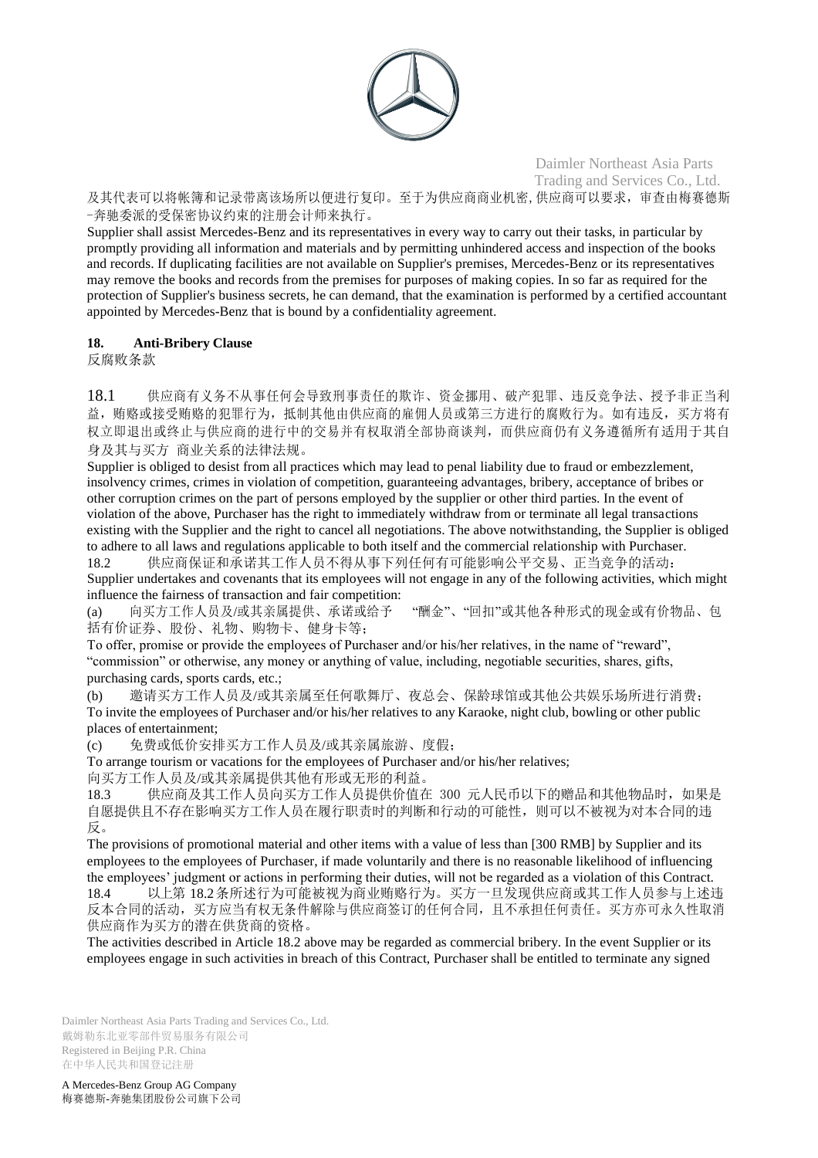

及其代表可以将帐簿和记录带离该场所以便进行复印。至于为供应商商业机密,供应商可以要求,审查由梅赛德斯 -奔驰委派的受保密协议约束的注册会计师来执行。

Supplier shall assist Mercedes-Benz and its representatives in every way to carry out their tasks, in particular by promptly providing all information and materials and by permitting unhindered access and inspection of the books and records. If duplicating facilities are not available on Supplier's premises, Mercedes-Benz or its representatives may remove the books and records from the premises for purposes of making copies. In so far as required for the protection of Supplier's business secrets, he can demand, that the examination is performed by a certified accountant appointed by Mercedes-Benz that is bound by a confidentiality agreement.

## **18. Anti-Bribery Clause**

反腐败条款

18.1 供应商有义务不从事任何会导致刑事责任的欺诈、资金挪用、破产犯罪、违反竞争法、授予非正当利 益,贿赂或接受贿赂的犯罪行为,抵制其他由供应商的雇佣人员或第三方进行的腐败行为。如有违反,买方将有 权立即退出或终止与供应商的进行中的交易并有权取消全部协商谈判,而供应商仍有义务遵循所有适用于其自 身及其与买方 商业关系的法律法规。

Supplier is obliged to desist from all practices which may lead to penal liability due to fraud or embezzlement, insolvency crimes, crimes in violation of competition, guaranteeing advantages, bribery, acceptance of bribes or other corruption crimes on the part of persons employed by the supplier or other third parties. In the event of violation of the above, Purchaser has the right to immediately withdraw from or terminate all legal transactions existing with the Supplier and the right to cancel all negotiations. The above notwithstanding, the Supplier is obliged to adhere to all laws and regulations applicable to both itself and the commercial relationship with Purchaser. 18.2 供应商保证和承诺其工作人员不得从事下列任何有可能影响公平交易、正当竞争的活动:

Supplier undertakes and covenants that its employees will not engage in any of the following activities, which might influence the fairness of transaction and fair competition:

(a) 向买方工作人员及/或其亲属提供、承诺或给予 "酬金"、"回扣"或其他各种形式的现金或有价物品、包 括有价证券、股份、礼物、购物卡、健身卡等;

To offer, promise or provide the employees of Purchaser and/or his/her relatives, in the name of "reward", "commission" or otherwise, any money or anything of value, including, negotiable securities, shares, gifts, purchasing cards, sports cards, etc.;

(b) 邀请买方工作人员及/或其亲属至任何歌舞厅、夜总会、保龄球馆或其他公共娱乐场所进行消费; To invite the employees of Purchaser and/or his/her relatives to any Karaoke, night club, bowling or other public places of entertainment;

(c) 免费或低价安排买方工作人员及/或其亲属旅游、度假;

To arrange tourism or vacations for the employees of Purchaser and/or his/her relatives; 向买方工作人员及/或其亲属提供其他有形或无形的利益。

18.3 供应商及其工作人员向买方工作人员提供价值在 300 元人民币以下的赠品和其他物品时,如果是 自愿提供且不存在影响买方工作人员在履行职责时的判断和行动的可能性,则可以不被视为对本合同的违 反。

The provisions of promotional material and other items with a value of less than [300 RMB] by Supplier and its employees to the employees of Purchaser, if made voluntarily and there is no reasonable likelihood of influencing the employees' judgment or actions in performing their duties, will not be regarded as a violation of this Contract. 18.4 以上第 18.2条所述行为可能被视为商业贿赂行为。买方一旦发现供应商或其工作人员参与上述违 反本合同的活动,买方应当有权无条件解除与供应商签订的任何合同,且不承担任何责任。买方亦可永久性取消 供应商作为买方的潜在供货商的资格。

The activities described in Article 18.2 above may be regarded as commercial bribery. In the event Supplier or its employees engage in such activities in breach of this Contract, Purchaser shall be entitled to terminate any signed

Daimler Northeast Asia Parts Trading and Services Co., Ltd. 戴姆勒东北亚零部件贸易服务有限公司 Registered in Beijing P.R. China 在中华人民共和国登记注册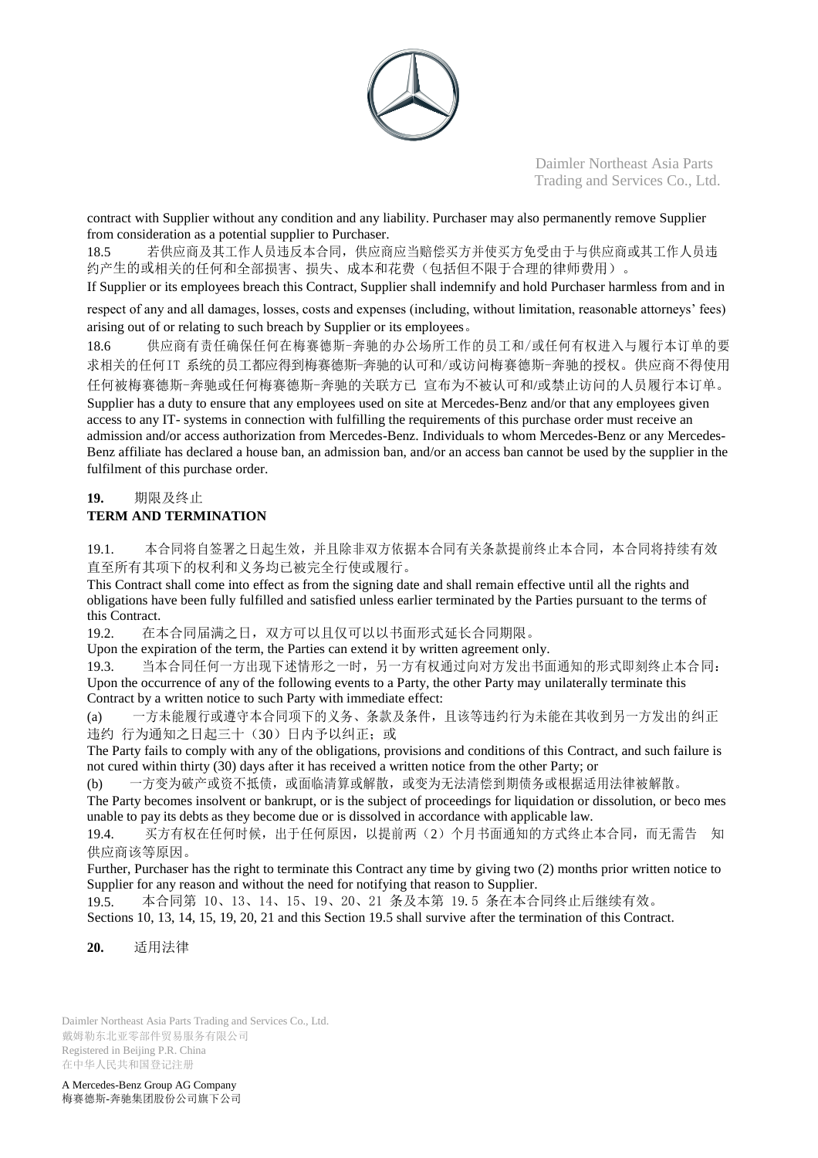

contract with Supplier without any condition and any liability. Purchaser may also permanently remove Supplier from consideration as a potential supplier to Purchaser.

18.5 若供应商及其工作人员违反本合同,供应商应当赔偿买方并使买方免受由于与供应商或其工作人员违 约产生的或相关的任何和全部损害、损失、成本和花费(包括但不限于合理的律师费用)。

If Supplier or its employees breach this Contract, Supplier shall indemnify and hold Purchaser harmless from and in

respect of any and all damages, losses, costs and expenses (including, without limitation, reasonable attorneys' fees) arising out of or relating to such breach by Supplier or its employees。

18.6 供应商有责任确保任何在梅赛德斯-奔驰的办公场所工作的员工和/或任何有权进入与履行本订单的要 求相关的任何IT 系统的员工都应得到梅赛德斯-奔驰的认可和/或访问梅赛德斯-奔驰的授权。供应商不得使用 任何被梅赛德斯-奔驰或任何梅赛德斯-奔驰的关联方已 宣布为不被认可和/或禁止访问的人员履行本订单。 Supplier has a duty to ensure that any employees used on site at Mercedes-Benz and/or that any employees given access to any IT- systems in connection with fulfilling the requirements of this purchase order must receive an admission and/or access authorization from Mercedes-Benz. Individuals to whom Mercedes-Benz or any Mercedes-Benz affiliate has declared a house ban, an admission ban, and/or an access ban cannot be used by the supplier in the fulfilment of this purchase order.

## **19.** 期限及终止 **TERM AND TERMINATION**

19.1. 本合同将自签署之日起生效,并且除非双方依据本合同有关条款提前终止本合同,本合同将持续有效 直至所有其项下的权利和义务均已被完全行使或履行。

This Contract shall come into effect as from the signing date and shall remain effective until all the rights and obligations have been fully fulfilled and satisfied unless earlier terminated by the Parties pursuant to the terms of this Contract.

19.2. 在本合同届满之日,双方可以且仅可以以书面形式延长合同期限。

Upon the expiration of the term, the Parties can extend it by written agreement only.

19.3. 当本合同任何一方出现下述情形之一时,另一方有权通过向对方发出书面通知的形式即刻终止本合同: Upon the occurrence of any of the following events to a Party, the other Party may unilaterally terminate this Contract by a written notice to such Party with immediate effect:

(a) 一方未能履行或遵守本合同项下的义务、条款及条件,且该等违约行为未能在其收到另一方发出的纠正 违约 行为通知之日起三十(30)日内予以纠正;或

The Party fails to comply with any of the obligations, provisions and conditions of this Contract, and such failure is not cured within thirty (30) days after it has received a written notice from the other Party; or

(b) 一方变为破产或资不抵债,或面临清算或解散,或变为无法清偿到期债务或根据适用法律被解散。

The Party becomes insolvent or bankrupt, or is the subject of proceedings for liquidation or dissolution, or beco mes unable to pay its debts as they become due or is dissolved in accordance with applicable law.

19.4. 买方有权在任何时候,出于任何原因,以提前两(2)个月书面通知的方式终止本合同,而无需告 知 供应商该等原因。

Further, Purchaser has the right to terminate this Contract any time by giving two (2) months prior written notice to Supplier for any reason and without the need for notifying that reason to Supplier.

19.5. 本合同第 10、13、14、15、19、20、21 条及本第 19.5 条在本合同终止后继续有效。

Sections 10, 13, 14, 15, 19, 20, 21 and this Section 19.5 shall survive after the termination of this Contract.

**20.** 适用法律

Daimler Northeast Asia Parts Trading and Services Co., Ltd. 戴姆勒东北亚零部件贸易服务有限公司 Registered in Beijing P.R. China 在中华人民共和国登记注册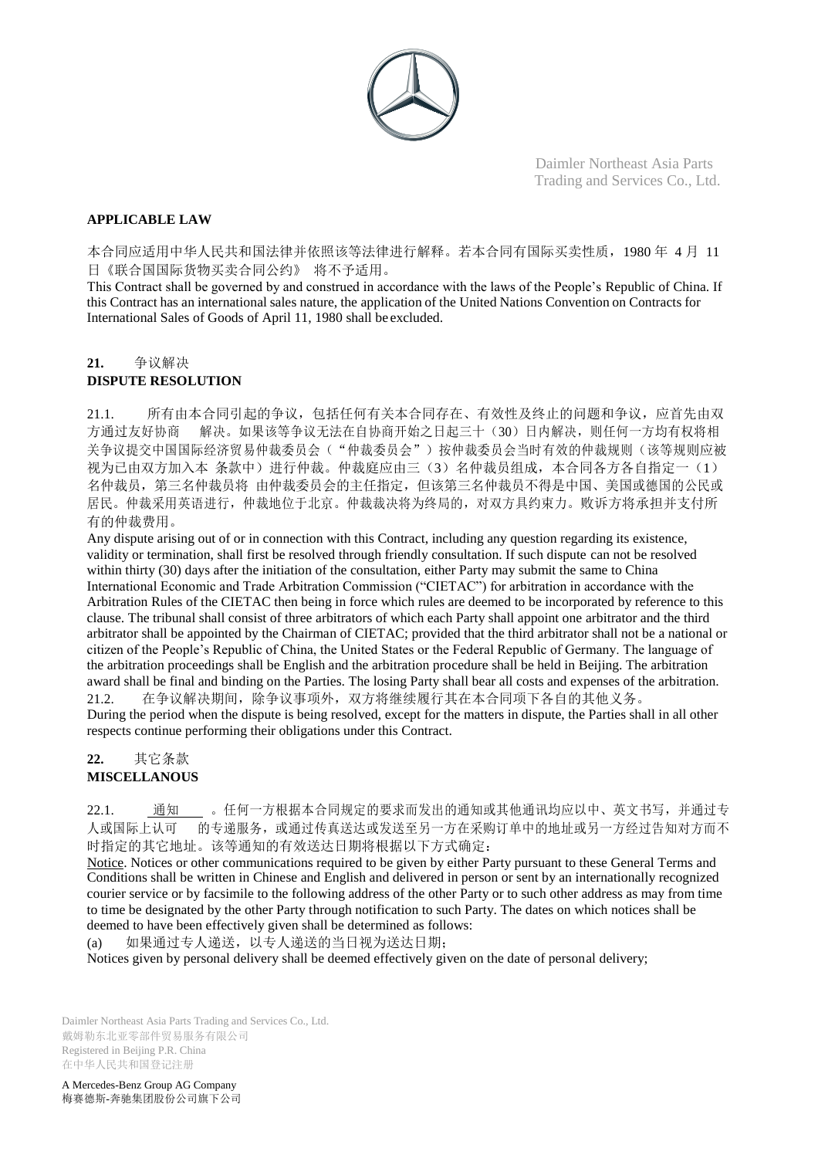

## **APPLICABLE LAW**

本合同应适用中华人民共和国法律并依照该等法律进行解释。若本合同有国际买卖性质,1980 年 4 月 11 日《联合国国际货物买卖合同公约》 将不予适用。

This Contract shall be governed by and construed in accordance with the laws of the People's Republic of China. If this Contract has an international sales nature, the application of the United Nations Convention on Contracts for International Sales of Goods of April 11, 1980 shall be excluded.

## **21.** 争议解决

## **DISPUTE RESOLUTION**

21.1. 所有由本合同引起的争议,包括任何有关本合同存在、有效性及终止的问题和争议,应首先由双 方通过友好协商 解决。如果该等争议无法在自协商开始之日起三十(30)日内解决,则任何一方均有权将相 关争议提交中国国际经济贸易仲裁委员会("仲裁委员会")按仲裁委员会当时有效的仲裁规则(该等规则应被 视为已由双方加入本 条款中)进行仲裁。仲裁庭应由三(3)名仲裁员组成,本合同各方各自指定一(1) 名仲裁员,第三名仲裁员将 由仲裁委员会的主任指定,但该第三名仲裁员不得是中国、美国或德国的公民或 居民。仲裁采用英语进行,仲裁地位于北京。仲裁裁决将为终局的,对双方具约束力。败诉方将承担并支付所 有的仲裁费用。

Any dispute arising out of or in connection with this Contract, including any question regarding its existence, validity or termination, shall first be resolved through friendly consultation. If such dispute can not be resolved within thirty (30) days after the initiation of the consultation, either Party may submit the same to China International Economic and Trade Arbitration Commission ("CIETAC") for arbitration in accordance with the Arbitration Rules of the CIETAC then being in force which rules are deemed to be incorporated by reference to this clause. The tribunal shall consist of three arbitrators of which each Party shall appoint one arbitrator and the third arbitrator shall be appointed by the Chairman of CIETAC; provided that the third arbitrator shall not be a national or citizen of the People's Republic of China, the United States or the Federal Republic of Germany. The language of the arbitration proceedings shall be English and the arbitration procedure shall be held in Beijing. The arbitration award shall be final and binding on the Parties. The losing Party shall bear all costs and expenses of the arbitration. 21.2. 在争议解决期间,除争议事项外,双方将继续履行其在本合同项下各自的其他义务。

During the period when the dispute is being resolved, except for the matters in dispute, the Parties shall in all other respects continue performing their obligations under this Contract.

## **22.** 其它条款 **MISCELLANOUS**

22.1. 通知 。任何一方根据本合同规定的要求而发出的通知或其他通讯均应以中、英文书写,并通过专 人或国际上认可 的专递服务,或通过传真送达或发送至另一方在采购订单中的地址或另一方经过告知对方而不 时指定的其它地址。该等通知的有效送达日期将根据以下方式确定:

Notice. Notices or other communications required to be given by either Party pursuant to these General Terms and Conditions shall be written in Chinese and English and delivered in person or sent by an internationally recognized courier service or by facsimile to the following address of the other Party or to such other address as may from time to time be designated by the other Party through notification to such Party. The dates on which notices shall be deemed to have been effectively given shall be determined as follows:

(a) 如果通过专人递送,以专人递送的当日视为送达日期;

Notices given by personal delivery shall be deemed effectively given on the date of personal delivery;

Daimler Northeast Asia Parts Trading and Services Co., Ltd. 戴姆勒东北亚零部件贸易服务有限公司 Registered in Beijing P.R. China 在中华人民共和国登记注册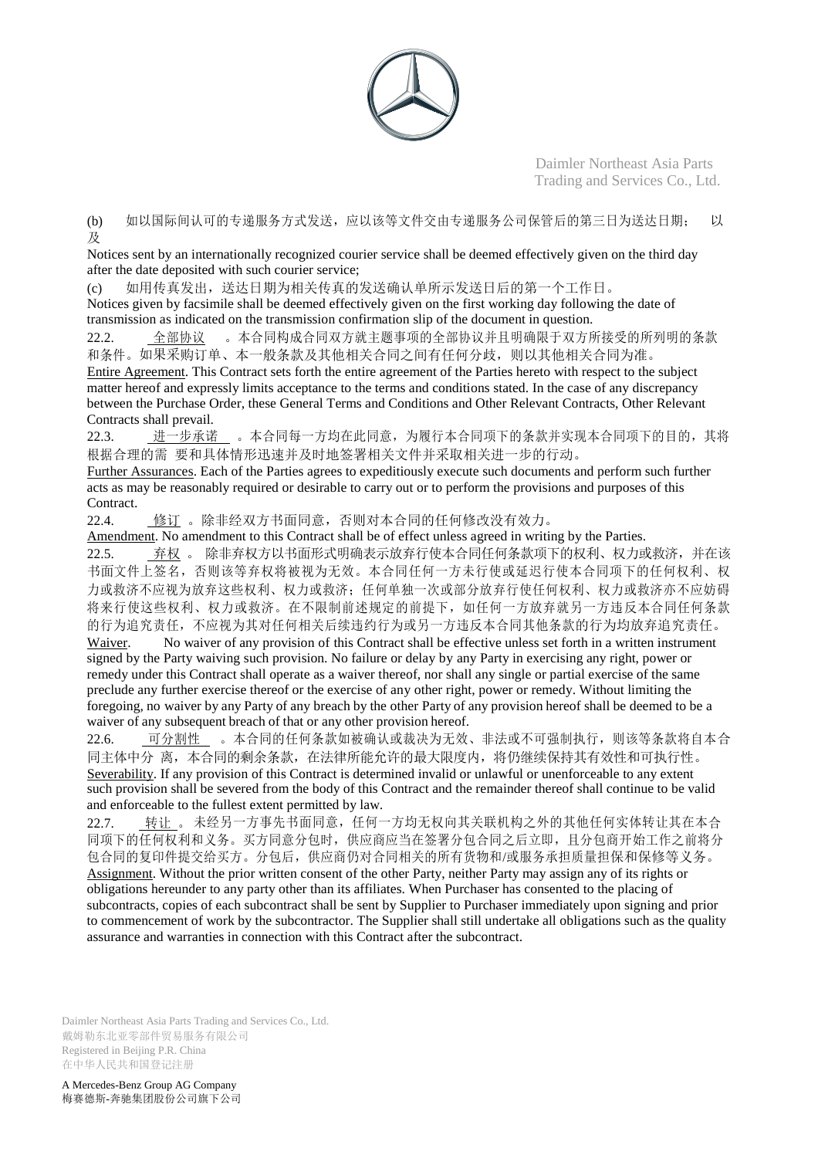

(b) 如以国际间认可的专递服务方式发送,应以该等文件交由专递服务公司保管后的第三日为送达日期; 以 及

Notices sent by an internationally recognized courier service shall be deemed effectively given on the third day after the date deposited with such courier service;

(c) 如用传真发出,送达日期为相关传真的发送确认单所示发送日后的第一个工作日。 Notices given by facsimile shall be deemed effectively given on the first working day following the date of transmission as indicated on the transmission confirmation slip of the document in question.

22.2. <sup>\_</sup>全部协议 。本合同构成合同双方就主题事项的全部协议并且明确限于双方所接受的所列明的条款 和条件。如果采购订单、本一般条款及其他相关合同之间有任何分歧,则以其他相关合同为准。

Entire Agreement. This Contract sets forth the entire agreement of the Parties hereto with respect to the subject matter hereof and expressly limits acceptance to the terms and conditions stated. In the case of any discrepancy between the Purchase Order, these General Terms and Conditions and Other Relevant Contracts, Other Relevant Contracts shall prevail.

22.3. 进一步承诺 。本合同每一方均在此同意,为履行本合同项下的条款并实现本合同项下的目的,其将 根据合理的需 要和具体情形迅速并及时地签署相关文件并采取相关进一步的行动。

Further Assurances. Each of the Parties agrees to expeditiously execute such documents and perform such further acts as may be reasonably required or desirable to carry out or to perform the provisions and purposes of this Contract.

22.4. 修订 。除非经双方书面同意,否则对本合同的任何修改没有效力。

Amendment. No amendment to this Contract shall be of effect unless agreed in writing by the Parties. 22.5. 弃权 。 除非弃权方以书面形式明确表示放弃行使本合同任何条款项下的权利、权力或救济,并在该 书面文件上签名,否则该等弃权将被视为无效。本合同任何一方未行使或延迟行使本合同项下的任何权利、权 力或救济不应视为放弃这些权利、权力或救济;任何单独一次或部分放弃行使任何权利、权力或救济亦不应妨碍 将来行使这些权利、权力或救济。在不限制前述规定的前提下,如任何一方放弃就另一方违反本合同任何条款 的行为追究责任,不应视为其对任何相关后续违约行为或另一方违反本合同其他条款的行为均放弃追究责任。

Waiver. No waiver of any provision of this Contract shall be effective unless set forth in a written instrument signed by the Party waiving such provision. No failure or delay by any Party in exercising any right, power or remedy under this Contract shall operate as a waiver thereof, nor shall any single or partial exercise of the same preclude any further exercise thereof or the exercise of any other right, power or remedy. Without limiting the foregoing, no waiver by any Party of any breach by the other Party of any provision hereof shall be deemed to be a waiver of any subsequent breach of that or any other provision hereof.

22.6. 可分割性 。本合同的任何条款如被确认或裁决为无效、非法或不可强制执行,则该等条款将自本合 同主体中分 离,本合同的剩余条款,在法律所能允许的最大限度内,将仍继续保持其有效性和可执行性。 Severability. If any provision of this Contract is determined invalid or unlawful or unenforceable to any extent such provision shall be severed from the body of this Contract and the remainder thereof shall continue to be valid and enforceable to the fullest extent permitted by law.

22.7. 转让 。 未经另一方事先书面同意,任何一方均无权向其关联机构之外的其他任何实体转让其在本合 同项下的任何权利和义务。买方同意分包时,供应商应当在签署分包合同之后立即,且分包商开始工作之前将分 包合同的复印件提交给买方。分包后,供应商仍对合同相关的所有货物和/或服务承担质量担保和保修等义务。 Assignment. Without the prior written consent of the other Party, neither Party may assign any of its rights or obligations hereunder to any party other than its affiliates. When Purchaser has consented to the placing of subcontracts, copies of each subcontract shall be sent by Supplier to Purchaser immediately upon signing and prior to commencement of work by the subcontractor. The Supplier shall still undertake all obligations such as the quality assurance and warranties in connection with this Contract after the subcontract.

Daimler Northeast Asia Parts Trading and Services Co., Ltd. 戴姆勒东北亚零部件贸易服务有限公司 Registered in Beijing P.R. China 在中华人民共和国登记注册